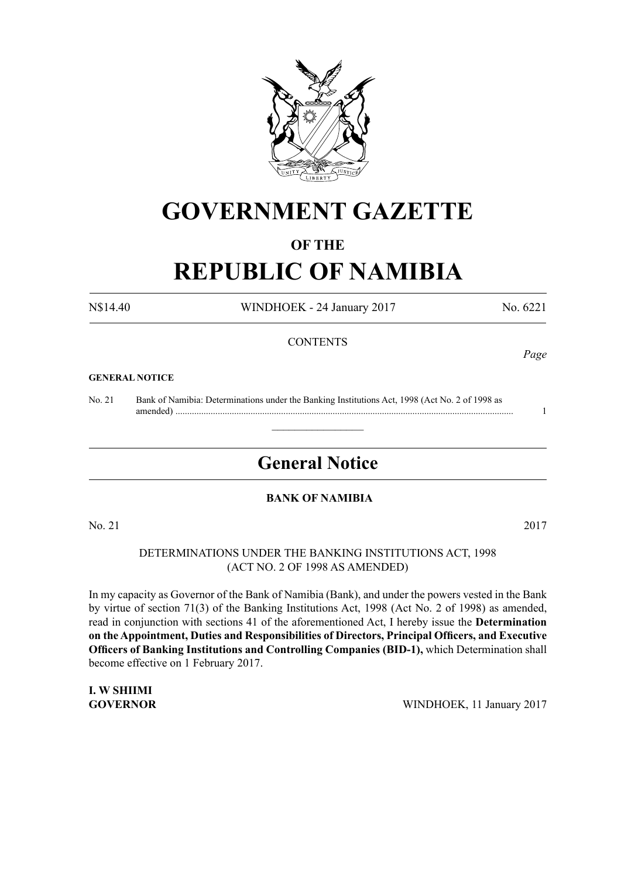

## **GOVERNMENT GAZETTE**

#### **OF THE**

# **REPUBLIC OF NAMIBIA**

N\$14.40 WINDHOEK - 24 January 2017 No. 6221

#### **CONTENTS**

#### **GENERAL NOTICE**

No. 21 Bank of Namibia: Determinations under the Banking Institutions Act, 1998 (Act No. 2 of 1998 as amended) ................................................................................................................................................ 1

## **General Notice**

 $\overline{\phantom{a}}$  , where  $\overline{\phantom{a}}$ 

#### **BANK OF NAMIBIA**

No. 21 2017

DETERMINATIONS UNDER THE BANKING INSTITUTIONS ACT, 1998 (ACT NO. 2 OF 1998 as amended)

In my capacity as Governor of the Bank of Namibia (Bank), and under the powers vested in the Bank by virtue of section 71(3) of the Banking Institutions Act, 1998 (Act No. 2 of 1998) as amended, read in conjunction with sections 41 of the aforementioned Act, I hereby issue the **Determination on the Appointment, Duties and Responsibilities of Directors, Principal Officers, and Executive Officers of Banking Institutions and Controlling Companies (BID-1),** which Determination shall become effective on 1 February 2017.

**I. W SHIIMI**

**GOVERNOR** WINDHOEK, 11 January 2017

## *Page*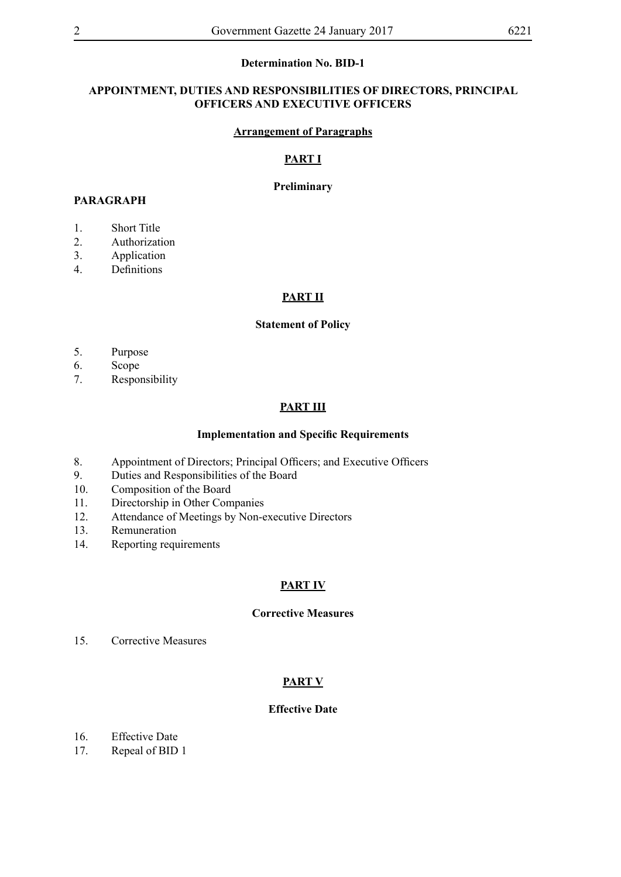## **Determination No. BID-1**

#### **APPOINTMENT, DUTIES AND RESPONSIBILITIES OF DIRECTORS, PRINCIPAL OFFICERS AND EXECUTIVE OFFICERS**

#### **Arrangement of Paragraphs**

#### **PART I**

#### **Preliminary**

#### **PARAGRAPH**

- 1. Short Title
- 2. Authorization
- 3. Application
- 4. Definitions

#### **PART II**

#### **Statement of Policy**

- 5. Purpose
- 6. Scope
- 7. Responsibility

#### **PART III**

#### **Implementation and Specific Requirements**

- 8. Appointment of Directors; Principal Officers; and Executive Officers
- 9. Duties and Responsibilities of the Board
- 10. Composition of the Board
- 11. Directorship in Other Companies
- 12. Attendance of Meetings by Non-executive Directors
- 13. Remuneration
- 14. Reporting requirements

#### **PART IV**

#### **Corrective Measures**

15. Corrective Measures

#### **PART V**

#### **Effective Date**

- 16. Effective Date
- 17. Repeal of BID 1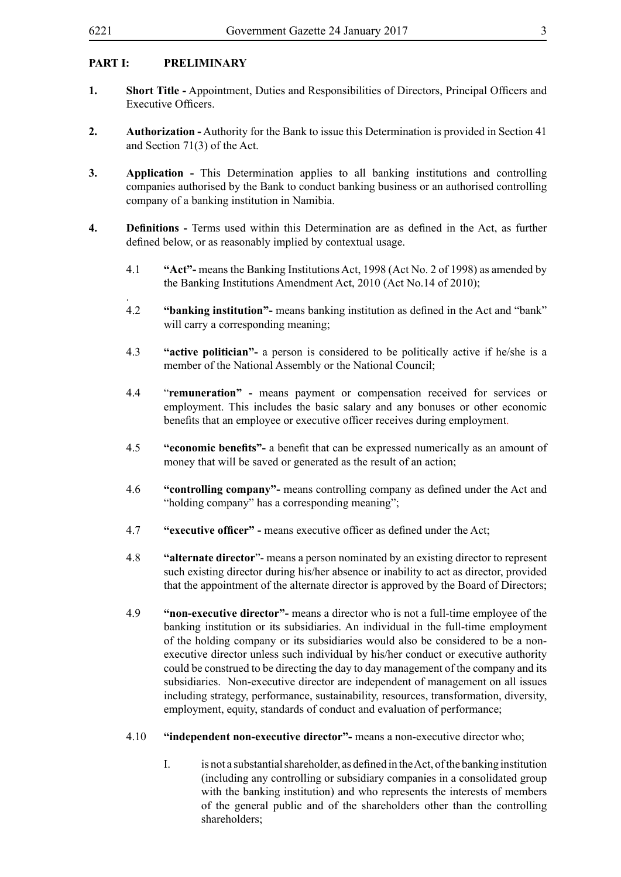.

### **PART I: PRELIMINARY**

- **1. Short Title -** Appointment, Duties and Responsibilities of Directors, Principal Officers and Executive Officers.
- **2. Authorization -** Authority for the Bank to issue this Determination is provided in Section 41 and Section 71(3) of the Act.
- **3. Application -** This Determination applies to all banking institutions and controlling companies authorised by the Bank to conduct banking business or an authorised controlling company of a banking institution in Namibia.
- **4. Definitions -** Terms used within this Determination are as defined in the Act, as further defined below, or as reasonably implied by contextual usage.
	- 4.1 **"Act"-** means the Banking Institutions Act, 1998 (Act No. 2 of 1998) as amended by the Banking Institutions Amendment Act, 2010 (Act No.14 of 2010);
	- 4.2 **"banking institution"-** means banking institution as defined in the Act and "bank" will carry a corresponding meaning;
	- 4.3 **"active politician"-** a person is considered to be politically active if he/she is a member of the National Assembly or the National Council;
	- 4.4 "**remuneration" -** means payment or compensation received for services or employment. This includes the basic salary and any bonuses or other economic benefits that an employee or executive officer receives during employment.
	- 4.5 **"economic benefits"-** a benefit that can be expressed numerically as an amount of money that will be saved or generated as the result of an action;
	- 4.6 **"controlling company"-** means controlling company as defined under the Act and "holding company" has a corresponding meaning";
	- 4.7 **"executive officer" -** means executive officer as defined under the Act;
	- 4.8 **"alternate director**"- means a person nominated by an existing director to represent such existing director during his/her absence or inability to act as director, provided that the appointment of the alternate director is approved by the Board of Directors;
	- 4.9 **"non-executive director"-** means a director who is not a full-time employee of the banking institution or its subsidiaries. An individual in the full-time employment of the holding company or its subsidiaries would also be considered to be a nonexecutive director unless such individual by his/her conduct or executive authority could be construed to be directing the day to day management of the company and its subsidiaries. Non-executive director are independent of management on all issues including strategy, performance, sustainability, resources, transformation, diversity, employment, equity, standards of conduct and evaluation of performance;
	- 4.10 **"independent non-executive director"-** means a non-executive director who;
		- I. is not a substantial shareholder, as defined in the Act, of the banking institution (including any controlling or subsidiary companies in a consolidated group with the banking institution) and who represents the interests of members of the general public and of the shareholders other than the controlling shareholders;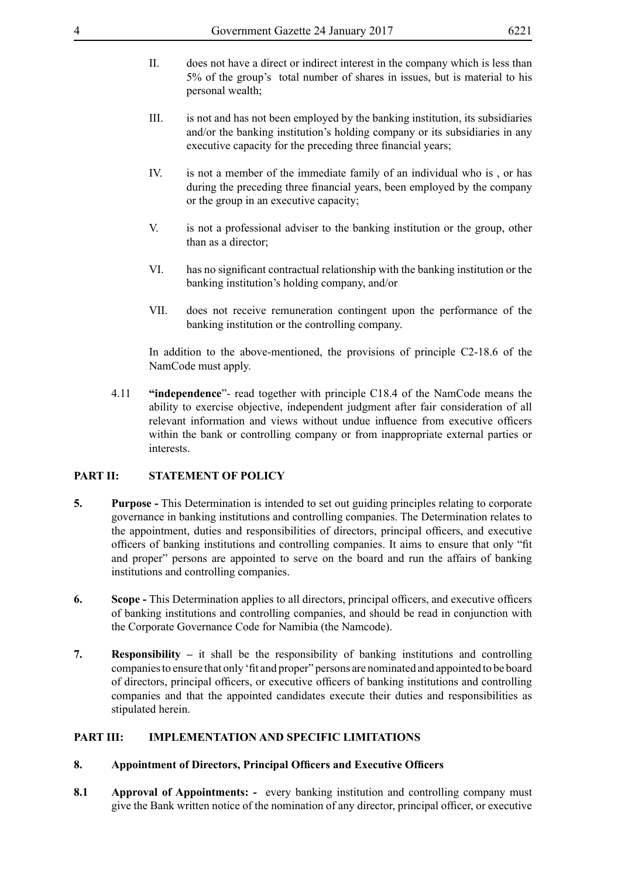- II. does not have a direct or indirect interest in the company which is less than 5% of the group's total number of shares in issues, but is material to his personal wealth;
- III. is not and has not been employed by the banking institution, its subsidiaries and/or the banking institution's holding company or its subsidiaries in any executive capacity for the preceding three financial years;
- IV. is not a member of the immediate family of an individual who is , or has during the preceding three financial years, been employed by the company or the group in an executive capacity;
- V. is not a professional adviser to the banking institution or the group, other than as a director;
- VI. has no significant contractual relationship with the banking institution or the banking institution's holding company, and/or
- VII. does not receive remuneration contingent upon the performance of the banking institution or the controlling company.

In addition to the above-mentioned, the provisions of principle C2-18.6 of the NamCode must apply.

4.11 **"independence**"- read together with principle C18.4 of the NamCode means the ability to exercise objective, independent judgment after fair consideration of all relevant information and views without undue influence from executive officers within the bank or controlling company or from inappropriate external parties or interests.

#### **PART II: STATEMENT OF POLICY**

- **5. Purpose -** This Determination is intended to set out guiding principles relating to corporate governance in banking institutions and controlling companies. The Determination relates to the appointment, duties and responsibilities of directors, principal officers, and executive officers of banking institutions and controlling companies. It aims to ensure that only "fit and proper" persons are appointed to serve on the board and run the affairs of banking institutions and controlling companies.
- **6. Scope -** This Determination applies to all directors, principal officers, and executive officers of banking institutions and controlling companies, and should be read in conjunction with the Corporate Governance Code for Namibia (the Namcode).
- **7. Responsibility** it shall be the responsibility of banking institutions and controlling companiesto ensure that only 'fit and proper" persons are nominated and appointed to be board of directors, principal officers, or executive officers of banking institutions and controlling companies and that the appointed candidates execute their duties and responsibilities as stipulated herein.

#### **PART III: IMPLEMENTATION AND SPECIFIC LIMITATIONS**

#### **8. Appointment of Directors, Principal Officers and Executive Officers**

**8.1 Approval of Appointments: -** every banking institution and controlling company must give the Bank written notice of the nomination of any director, principal officer, or executive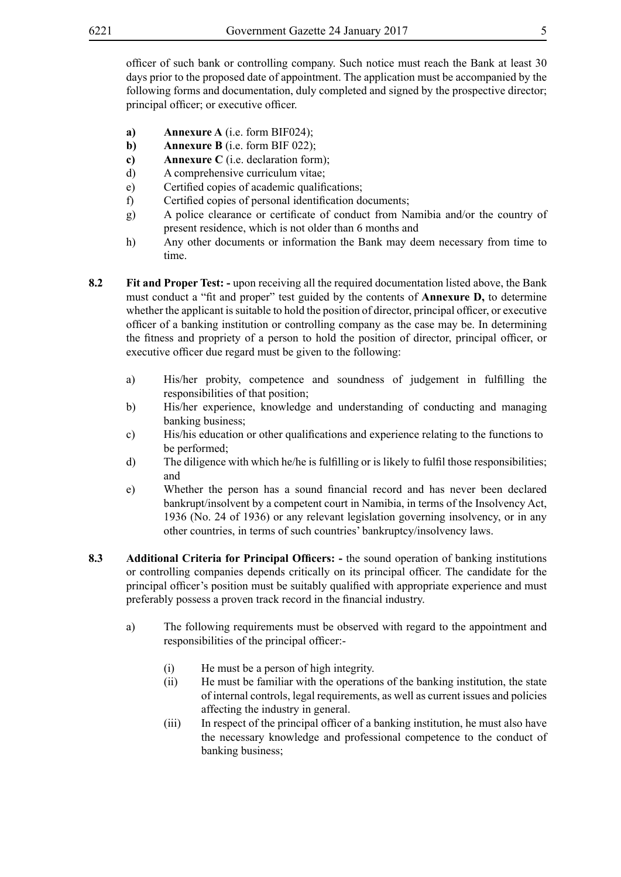officer of such bank or controlling company. Such notice must reach the Bank at least 30 days prior to the proposed date of appointment. The application must be accompanied by the following forms and documentation, duly completed and signed by the prospective director; principal officer; or executive officer.

- **a) Annexure A** (i.e. form BIF024);
- **b) Annexure B** (i.e. form BIF 022);
- **c) Annexure C** (i.e. declaration form);
- d) A comprehensive curriculum vitae;
- e) Certified copies of academic qualifications;
- f) Certified copies of personal identification documents;
- g) A police clearance or certificate of conduct from Namibia and/or the country of present residence, which is not older than 6 months and
- h) Any other documents or information the Bank may deem necessary from time to time.
- **8.2** Fit and Proper Test: upon receiving all the required documentation listed above, the Bank must conduct a "fit and proper" test guided by the contents of **Annexure D,** to determine whether the applicant is suitable to hold the position of director, principal officer, or executive officer of a banking institution or controlling company as the case may be. In determining the fitness and propriety of a person to hold the position of director, principal officer, or executive officer due regard must be given to the following:
	- a) His/her probity, competence and soundness of judgement in fulfilling the responsibilities of that position;
	- b) His/her experience, knowledge and understanding of conducting and managing banking business;
	- c) His/his education or other qualifications and experience relating to the functions to be performed;
	- $d)$  The diligence with which he/he is fulfilling or is likely to fulfil those responsibilities; and
	- e) Whether the person has a sound financial record and has never been declared bankrupt/insolvent by a competent court in Namibia, in terms of the Insolvency Act, 1936 (No. 24 of 1936) or any relevant legislation governing insolvency, or in any other countries, in terms of such countries' bankruptcy/insolvency laws.
- **8.3 Additional Criteria for Principal Officers:** the sound operation of banking institutions or controlling companies depends critically on its principal officer. The candidate for the principal officer's position must be suitably qualified with appropriate experience and must preferably possess a proven track record in the financial industry.
	- a) The following requirements must be observed with regard to the appointment and responsibilities of the principal officer:-
		- (i) He must be a person of high integrity.
		- (ii) He must be familiar with the operations of the banking institution, the state of internal controls, legal requirements, as well as current issues and policies affecting the industry in general.
		- (iii) In respect of the principal officer of a banking institution, he must also have the necessary knowledge and professional competence to the conduct of banking business;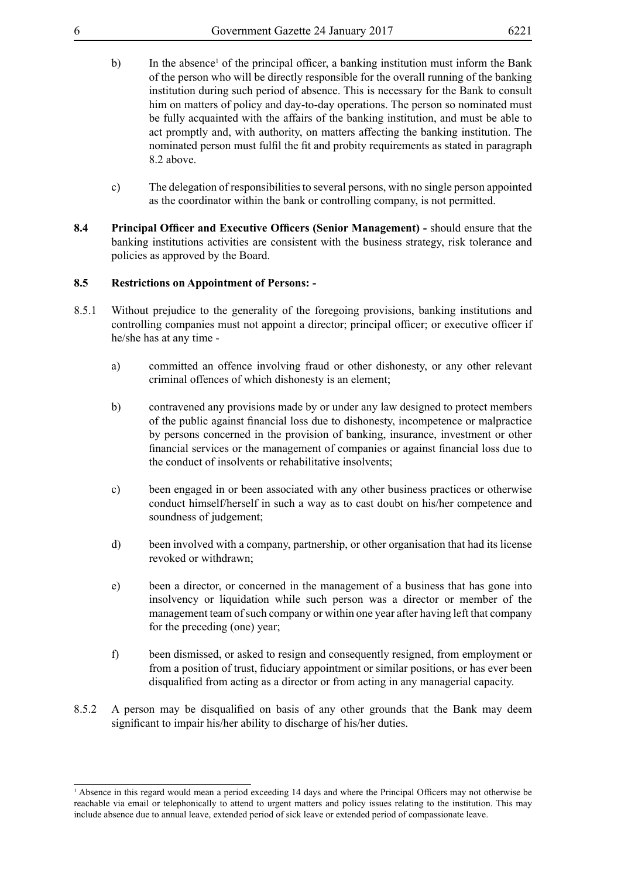- b) In the absence<sup>1</sup> of the principal officer, a banking institution must inform the Bank of the person who will be directly responsible for the overall running of the banking institution during such period of absence. This is necessary for the Bank to consult him on matters of policy and day-to-day operations. The person so nominated must be fully acquainted with the affairs of the banking institution, and must be able to act promptly and, with authority, on matters affecting the banking institution. The nominated person must fulfil the fit and probity requirements as stated in paragraph 8.2 above.
- c) The delegation of responsibilities to several persons, with no single person appointed as the coordinator within the bank or controlling company, is not permitted.
- **8.4 Principal Officer and Executive Officers (Senior Management)** should ensure that the banking institutions activities are consistent with the business strategy, risk tolerance and policies as approved by the Board.

#### **8.5 Restrictions on Appointment of Persons: -**

- 8.5.1 Without prejudice to the generality of the foregoing provisions, banking institutions and controlling companies must not appoint a director; principal officer; or executive officer if he/she has at any time
	- a) committed an offence involving fraud or other dishonesty, or any other relevant criminal offences of which dishonesty is an element;
	- b) contravened any provisions made by or under any law designed to protect members of the public against financial loss due to dishonesty, incompetence or malpractice by persons concerned in the provision of banking, insurance, investment or other financial services or the management of companies or against financial loss due to the conduct of insolvents or rehabilitative insolvents;
	- c) been engaged in or been associated with any other business practices or otherwise conduct himself/herself in such a way as to cast doubt on his/her competence and soundness of judgement;
	- d) been involved with a company, partnership, or other organisation that had its license revoked or withdrawn;
	- e) been a director, or concerned in the management of a business that has gone into insolvency or liquidation while such person was a director or member of the management team of such company or within one year after having left that company for the preceding (one) year;
	- f) been dismissed, or asked to resign and consequently resigned, from employment or from a position of trust, fiduciary appointment or similar positions, or has ever been disqualified from acting as a director or from acting in any managerial capacity.
- 8.5.2 A person may be disqualified on basis of any other grounds that the Bank may deem significant to impair his/her ability to discharge of his/her duties.

<sup>1</sup> Absence in this regard would mean a period exceeding 14 days and where the Principal Officers may not otherwise be reachable via email or telephonically to attend to urgent matters and policy issues relating to the institution. This may include absence due to annual leave, extended period of sick leave or extended period of compassionate leave.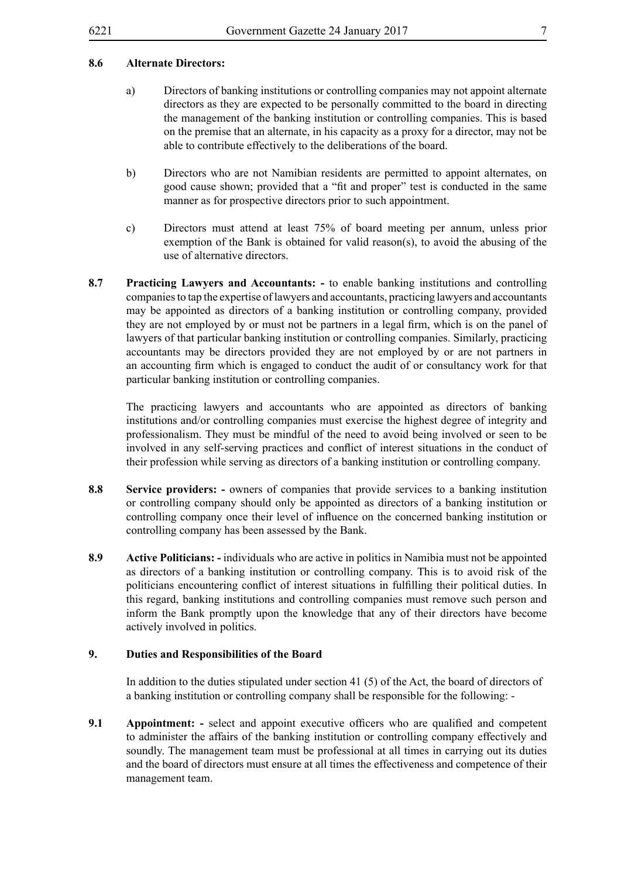#### **8.6 Alternate Directors:**

- a) Directors of banking institutions or controlling companies may not appoint alternate directors as they are expected to be personally committed to the board in directing the management of the banking institution or controlling companies. This is based on the premise that an alternate, in his capacity as a proxy for a director, may not be able to contribute effectively to the deliberations of the board.
- b) Directors who are not Namibian residents are permitted to appoint alternates, on good cause shown; provided that a "fit and proper" test is conducted in the same manner as for prospective directors prior to such appointment.
- c) Directors must attend at least 75% of board meeting per annum, unless prior exemption of the Bank is obtained for valid reason(s), to avoid the abusing of the use of alternative directors.
- **8.7 Practicing Lawyers and Accountants: -** to enable banking institutions and controlling companiesto tap the expertise oflawyers and accountants, practicing lawyers and accountants may be appointed as directors of a banking institution or controlling company, provided they are not employed by or must not be partners in a legal firm, which is on the panel of lawyers of that particular banking institution or controlling companies. Similarly, practicing accountants may be directors provided they are not employed by or are not partners in an accounting firm which is engaged to conduct the audit of or consultancy work for that particular banking institution or controlling companies.

The practicing lawyers and accountants who are appointed as directors of banking institutions and/or controlling companies must exercise the highest degree of integrity and professionalism. They must be mindful of the need to avoid being involved or seen to be involved in any self-serving practices and conflict of interest situations in the conduct of their profession while serving as directors of a banking institution or controlling company.

- **8.8 Service providers:** owners of companies that provide services to a banking institution or controlling company should only be appointed as directors of a banking institution or controlling company once their level of influence on the concerned banking institution or controlling company has been assessed by the Bank.
- **8.9 Active Politicians: -** individuals who are active in politics in Namibia must not be appointed as directors of a banking institution or controlling company. This is to avoid risk of the politicians encountering conflict of interest situations in fulfilling their political duties. In this regard, banking institutions and controlling companies must remove such person and inform the Bank promptly upon the knowledge that any of their directors have become actively involved in politics.

#### **9. Duties and Responsibilities of the Board**

In addition to the duties stipulated under section 41 (5) of the Act, the board of directors of a banking institution or controlling company shall be responsible for the following: -

**9.1 Appointment:** - select and appoint executive officers who are qualified and competent to administer the affairs of the banking institution or controlling company effectively and soundly. The management team must be professional at all times in carrying out its duties and the board of directors must ensure at all times the effectiveness and competence of their management team.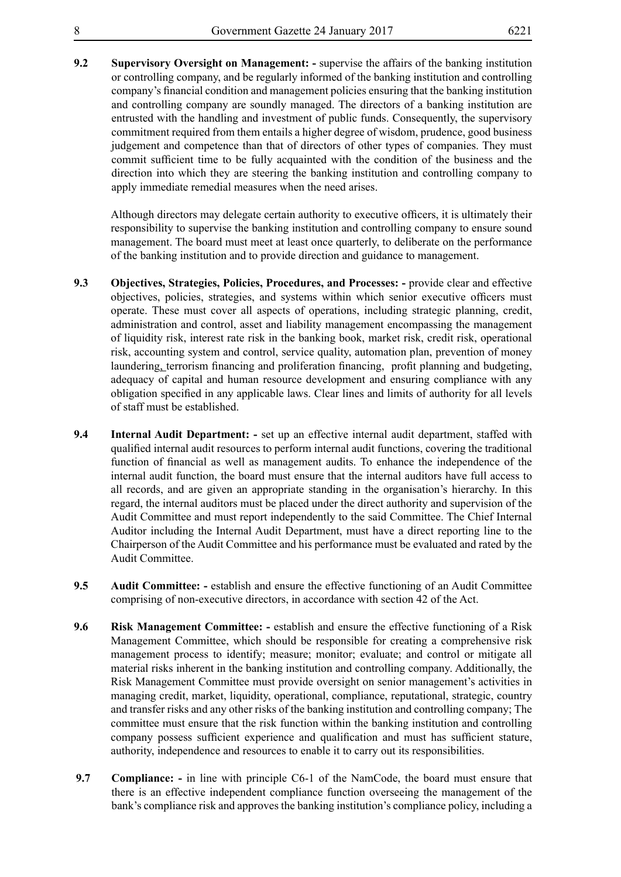**9.2 Supervisory Oversight on Management: -** supervise the affairs of the banking institution or controlling company, and be regularly informed of the banking institution and controlling company's financial condition and management policies ensuring that the banking institution and controlling company are soundly managed. The directors of a banking institution are entrusted with the handling and investment of public funds. Consequently, the supervisory commitment required from them entails a higher degree of wisdom, prudence, good business judgement and competence than that of directors of other types of companies. They must commit sufficient time to be fully acquainted with the condition of the business and the direction into which they are steering the banking institution and controlling company to apply immediate remedial measures when the need arises.

Although directors may delegate certain authority to executive officers, it is ultimately their responsibility to supervise the banking institution and controlling company to ensure sound management. The board must meet at least once quarterly, to deliberate on the performance of the banking institution and to provide direction and guidance to management.

- **9.3 Objectives, Strategies, Policies, Procedures, and Processes: -** provide clear and effective objectives, policies, strategies, and systems within which senior executive officers must operate. These must cover all aspects of operations, including strategic planning, credit, administration and control, asset and liability management encompassing the management of liquidity risk, interest rate risk in the banking book, market risk, credit risk, operational risk, accounting system and control, service quality, automation plan, prevention of money laundering, terrorism financing and proliferation financing, profit planning and budgeting, adequacy of capital and human resource development and ensuring compliance with any obligation specified in any applicable laws. Clear lines and limits of authority for all levels of staff must be established.
- **9.4 Internal Audit Department: -** set up an effective internal audit department, staffed with qualified internal audit resources to perform internal audit functions, covering the traditional function of financial as well as management audits. To enhance the independence of the internal audit function, the board must ensure that the internal auditors have full access to all records, and are given an appropriate standing in the organisation's hierarchy. In this regard, the internal auditors must be placed under the direct authority and supervision of the Audit Committee and must report independently to the said Committee. The Chief Internal Auditor including the Internal Audit Department, must have a direct reporting line to the Chairperson of the Audit Committee and his performance must be evaluated and rated by the Audit Committee.
- **9.5 Audit Committee: -** establish and ensure the effective functioning of an Audit Committee comprising of non-executive directors, in accordance with section 42 of the Act.
- **9.6 Risk Management Committee: -** establish and ensure the effective functioning of a Risk Management Committee, which should be responsible for creating a comprehensive risk management process to identify; measure; monitor; evaluate; and control or mitigate all material risks inherent in the banking institution and controlling company. Additionally, the Risk Management Committee must provide oversight on senior management's activities in managing credit, market, liquidity, operational, compliance, reputational, strategic, country and transfer risks and any other risks of the banking institution and controlling company; The committee must ensure that the risk function within the banking institution and controlling company possess sufficient experience and qualification and must has sufficient stature, authority, independence and resources to enable it to carry out its responsibilities.
- **9.7 Compliance: -** in line with principle C6-1 of the NamCode, the board must ensure that there is an effective independent compliance function overseeing the management of the bank's compliance risk and approves the banking institution's compliance policy, including a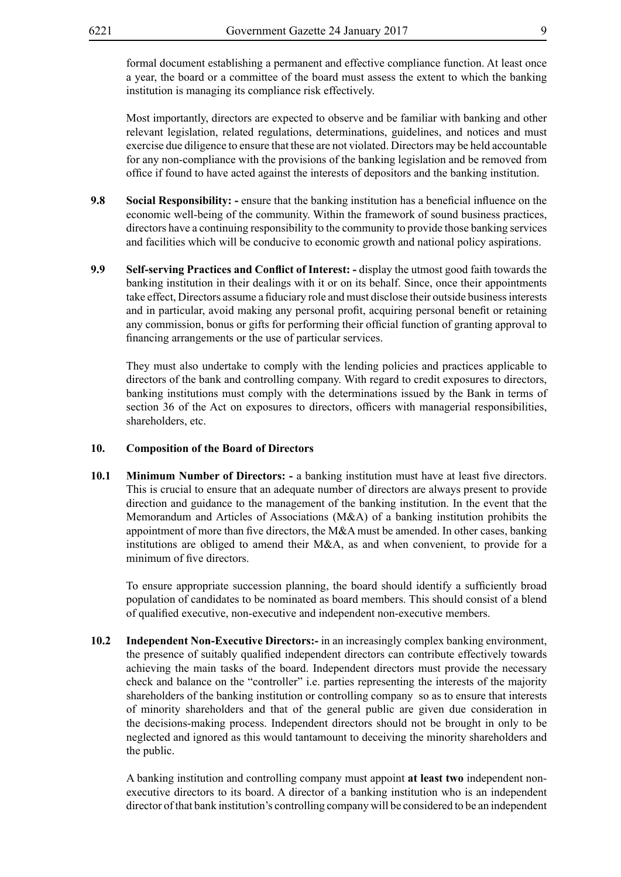formal document establishing a permanent and effective compliance function. At least once a year, the board or a committee of the board must assess the extent to which the banking institution is managing its compliance risk effectively.

Most importantly, directors are expected to observe and be familiar with banking and other relevant legislation, related regulations, determinations, guidelines, and notices and must exercise due diligence to ensure that these are not violated. Directors may be held accountable for any non-compliance with the provisions of the banking legislation and be removed from office if found to have acted against the interests of depositors and the banking institution.

- **9.8 Social Responsibility: -** ensure that the banking institution has a beneficial influence on the economic well-being of the community. Within the framework of sound business practices, directors have a continuing responsibility to the community to provide those banking services and facilities which will be conducive to economic growth and national policy aspirations.
- **9.9 Self-serving Practices and Conflict of Interest: -** display the utmost good faith towards the banking institution in their dealings with it or on its behalf. Since, once their appointments take effect, Directors assume a fiduciary role and must disclose their outside business interests and in particular, avoid making any personal profit, acquiring personal benefit or retaining any commission, bonus or gifts for performing their official function of granting approval to financing arrangements or the use of particular services.

They must also undertake to comply with the lending policies and practices applicable to directors of the bank and controlling company. With regard to credit exposures to directors, banking institutions must comply with the determinations issued by the Bank in terms of section 36 of the Act on exposures to directors, officers with managerial responsibilities, shareholders, etc.

#### **10. Composition of the Board of Directors**

**10.1 Minimum Number of Directors: -** a banking institution must have at least five directors. This is crucial to ensure that an adequate number of directors are always present to provide direction and guidance to the management of the banking institution. In the event that the Memorandum and Articles of Associations (M&A) of a banking institution prohibits the appointment of more than five directors, the M&A must be amended. In other cases, banking institutions are obliged to amend their M&A, as and when convenient, to provide for a minimum of five directors.

To ensure appropriate succession planning, the board should identify a sufficiently broad population of candidates to be nominated as board members. This should consist of a blend of qualified executive, non-executive and independent non-executive members.

**10.2 Independent Non-Executive Directors:-** in an increasingly complex banking environment, the presence of suitably qualified independent directors can contribute effectively towards achieving the main tasks of the board. Independent directors must provide the necessary check and balance on the "controller" i.e. parties representing the interests of the majority shareholders of the banking institution or controlling company so as to ensure that interests of minority shareholders and that of the general public are given due consideration in the decisions-making process. Independent directors should not be brought in only to be neglected and ignored as this would tantamount to deceiving the minority shareholders and the public.

A banking institution and controlling company must appoint **at least two** independent nonexecutive directors to its board. A director of a banking institution who is an independent director of that bank institution's controlling company will be considered to be an independent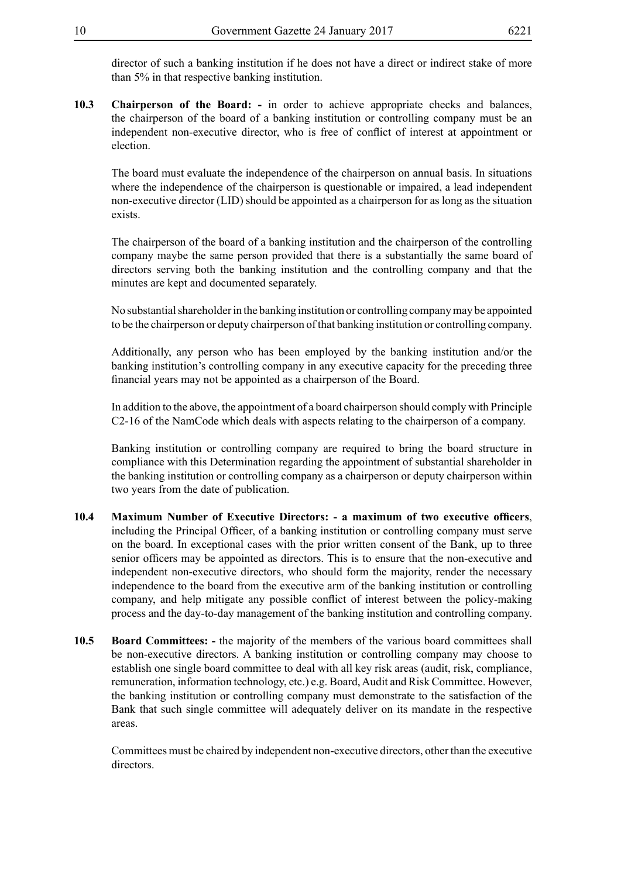director of such a banking institution if he does not have a direct or indirect stake of more than 5% in that respective banking institution.

**10.3 Chairperson of the Board: -** in order to achieve appropriate checks and balances, the chairperson of the board of a banking institution or controlling company must be an independent non-executive director, who is free of conflict of interest at appointment or election.

The board must evaluate the independence of the chairperson on annual basis. In situations where the independence of the chairperson is questionable or impaired, a lead independent non-executive director (LID) should be appointed as a chairperson for as long as the situation exists.

The chairperson of the board of a banking institution and the chairperson of the controlling company maybe the same person provided that there is a substantially the same board of directors serving both the banking institution and the controlling company and that the minutes are kept and documented separately.

No substantial shareholder in the banking institution or controlling company may be appointed to be the chairperson or deputy chairperson of that banking institution or controlling company.

Additionally, any person who has been employed by the banking institution and/or the banking institution's controlling company in any executive capacity for the preceding three financial years may not be appointed as a chairperson of the Board.

In addition to the above, the appointment of a board chairperson should comply with Principle C2-16 of the NamCode which deals with aspects relating to the chairperson of a company.

Banking institution or controlling company are required to bring the board structure in compliance with this Determination regarding the appointment of substantial shareholder in the banking institution or controlling company as a chairperson or deputy chairperson within two years from the date of publication.

- **10.4 Maximum Number of Executive Directors: - a maximum of two executive officers**, including the Principal Officer, of a banking institution or controlling company must serve on the board. In exceptional cases with the prior written consent of the Bank, up to three senior officers may be appointed as directors. This is to ensure that the non-executive and independent non-executive directors, who should form the majority, render the necessary independence to the board from the executive arm of the banking institution or controlling company, and help mitigate any possible conflict of interest between the policy-making process and the day-to-day management of the banking institution and controlling company.
- **10.5 Board Committees: -** the majority of the members of the various board committees shall be non-executive directors. A banking institution or controlling company may choose to establish one single board committee to deal with all key risk areas (audit, risk, compliance, remuneration, information technology, etc.) e.g. Board, Audit and Risk Committee. However, the banking institution or controlling company must demonstrate to the satisfaction of the Bank that such single committee will adequately deliver on its mandate in the respective areas.

Committees must be chaired by independent non-executive directors, other than the executive directors.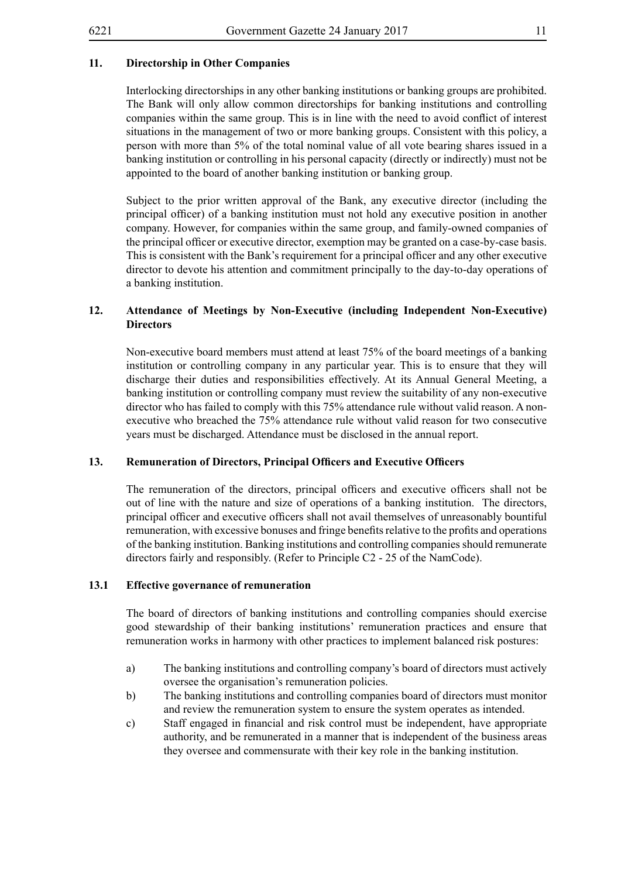## **11. Directorship in Other Companies**

Interlocking directorships in any other banking institutions or banking groups are prohibited. The Bank will only allow common directorships for banking institutions and controlling companies within the same group. This is in line with the need to avoid conflict of interest situations in the management of two or more banking groups. Consistent with this policy, a person with more than 5% of the total nominal value of all vote bearing shares issued in a banking institution or controlling in his personal capacity (directly or indirectly) must not be appointed to the board of another banking institution or banking group.

Subject to the prior written approval of the Bank, any executive director (including the principal officer) of a banking institution must not hold any executive position in another company. However, for companies within the same group, and family-owned companies of the principal officer or executive director, exemption may be granted on a case-by-case basis. This is consistent with the Bank's requirement for a principal officer and any other executive director to devote his attention and commitment principally to the day-to-day operations of a banking institution.

#### **12. Attendance of Meetings by Non-Executive (including Independent Non-Executive) Directors**

Non-executive board members must attend at least 75% of the board meetings of a banking institution or controlling company in any particular year. This is to ensure that they will discharge their duties and responsibilities effectively. At its Annual General Meeting, a banking institution or controlling company must review the suitability of any non-executive director who has failed to comply with this 75% attendance rule without valid reason. A nonexecutive who breached the 75% attendance rule without valid reason for two consecutive years must be discharged. Attendance must be disclosed in the annual report.

#### **13. Remuneration of Directors, Principal Officers and Executive Officers**

The remuneration of the directors, principal officers and executive officers shall not be out of line with the nature and size of operations of a banking institution. The directors, principal officer and executive officers shall not avail themselves of unreasonably bountiful remuneration, with excessive bonuses and fringe benefitsrelative to the profits and operations of the banking institution. Banking institutions and controlling companies should remunerate directors fairly and responsibly. (Refer to Principle C2 - 25 of the NamCode).

#### **13.1 Effective governance of remuneration**

The board of directors of banking institutions and controlling companies should exercise good stewardship of their banking institutions' remuneration practices and ensure that remuneration works in harmony with other practices to implement balanced risk postures:

- a) The banking institutions and controlling company's board of directors must actively oversee the organisation's remuneration policies.
- b) The banking institutions and controlling companies board of directors must monitor and review the remuneration system to ensure the system operates as intended.
- c) Staff engaged in financial and risk control must be independent, have appropriate authority, and be remunerated in a manner that is independent of the business areas they oversee and commensurate with their key role in the banking institution.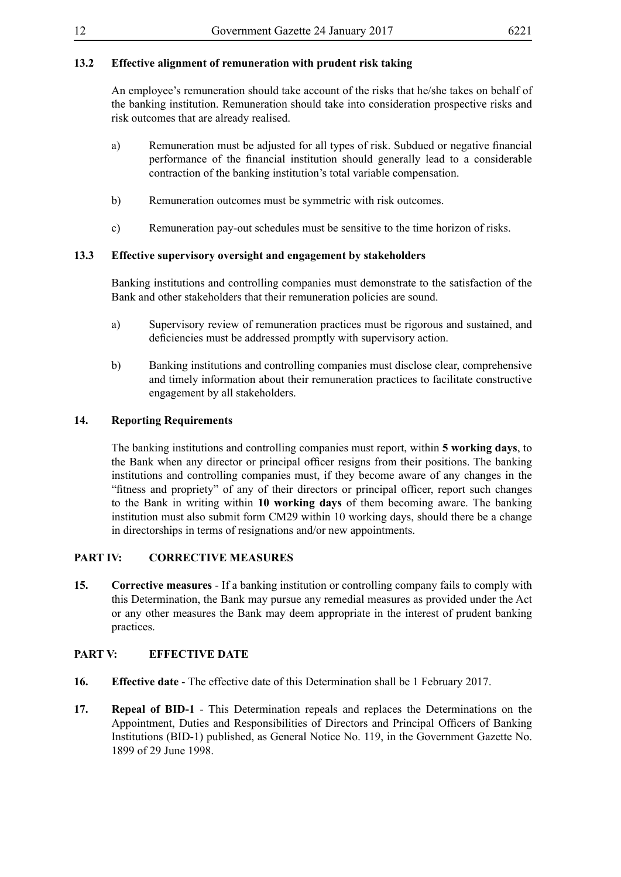## **13.2 Effective alignment of remuneration with prudent risk taking**

An employee's remuneration should take account of the risks that he/she takes on behalf of the banking institution. Remuneration should take into consideration prospective risks and risk outcomes that are already realised.

- a) Remuneration must be adjusted for all types of risk. Subdued or negative financial performance of the financial institution should generally lead to a considerable contraction of the banking institution's total variable compensation.
- b) Remuneration outcomes must be symmetric with risk outcomes.
- c) Remuneration pay-out schedules must be sensitive to the time horizon of risks.

#### **13.3 Effective supervisory oversight and engagement by stakeholders**

Banking institutions and controlling companies must demonstrate to the satisfaction of the Bank and other stakeholders that their remuneration policies are sound.

- a) Supervisory review of remuneration practices must be rigorous and sustained, and deficiencies must be addressed promptly with supervisory action.
- b) Banking institutions and controlling companies must disclose clear, comprehensive and timely information about their remuneration practices to facilitate constructive engagement by all stakeholders.

#### **14. Reporting Requirements**

The banking institutions and controlling companies must report, within **5 working days**, to the Bank when any director or principal officer resigns from their positions. The banking institutions and controlling companies must, if they become aware of any changes in the "fitness and propriety" of any of their directors or principal officer, report such changes to the Bank in writing within **10 working days** of them becoming aware. The banking institution must also submit form CM29 within 10 working days, should there be a change in directorships in terms of resignations and/or new appointments.

#### **PART IV: CORRECTIVE MEASURES**

**15. Corrective measures** - If a banking institution or controlling company fails to comply with this Determination, the Bank may pursue any remedial measures as provided under the Act or any other measures the Bank may deem appropriate in the interest of prudent banking practices.

#### **PART V: EFFECTIVE DATE**

- **16. Effective date** The effective date of this Determination shall be 1 February 2017.
- **17. Repeal of BID-1** This Determination repeals and replaces the Determinations on the Appointment, Duties and Responsibilities of Directors and Principal Officers of Banking Institutions (BID-1) published, as General Notice No. 119, in the Government Gazette No. 1899 of 29 June 1998.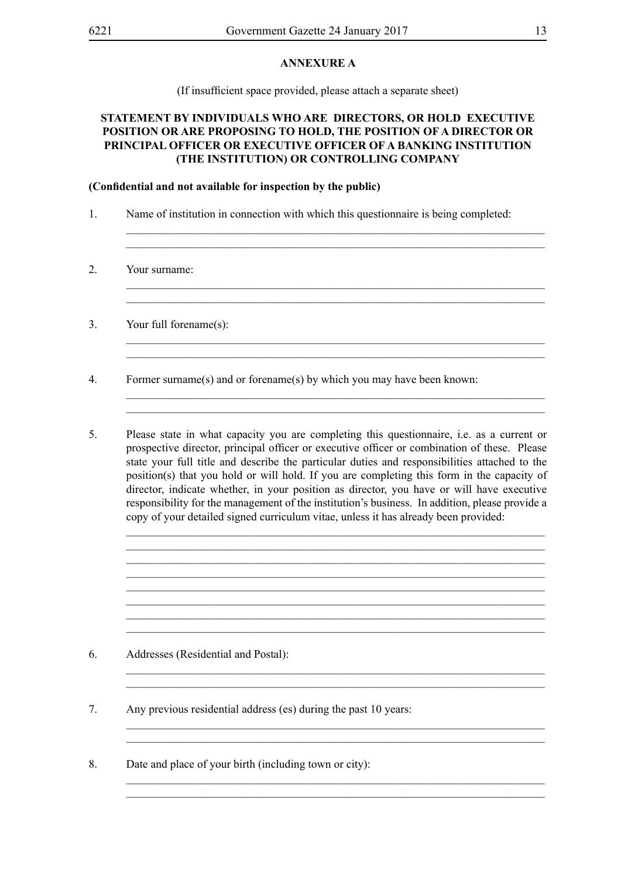#### **ANNEXURE A**

(If insufficient space provided, please attach a separate sheet)

### **STATEMENT BY INDIVIDUALS WHO ARE DIRECTORS, OR HOLD EXECUTIVE POSITION OR ARE PROPOSING TO HOLD, THE POSITION OF A DIRECTOR OR PRINCIPAL OFFICER OR EXECUTIVE OFFICER OF A BANKING INSTITUTION (THE INSTITUTION) OR CONTROLLING COMPANY**

\_\_\_\_\_\_\_\_\_\_\_\_\_\_\_\_\_\_\_\_\_\_\_\_\_\_\_\_\_\_\_\_\_\_\_\_\_\_\_\_\_\_\_\_\_\_\_\_\_\_\_\_\_\_\_\_\_\_\_\_\_\_\_\_\_\_\_\_\_\_\_\_\_ \_\_\_\_\_\_\_\_\_\_\_\_\_\_\_\_\_\_\_\_\_\_\_\_\_\_\_\_\_\_\_\_\_\_\_\_\_\_\_\_\_\_\_\_\_\_\_\_\_\_\_\_\_\_\_\_\_\_\_\_\_\_\_\_\_\_\_\_\_\_\_\_\_

\_\_\_\_\_\_\_\_\_\_\_\_\_\_\_\_\_\_\_\_\_\_\_\_\_\_\_\_\_\_\_\_\_\_\_\_\_\_\_\_\_\_\_\_\_\_\_\_\_\_\_\_\_\_\_\_\_\_\_\_\_\_\_\_\_\_\_\_\_\_\_\_\_ \_\_\_\_\_\_\_\_\_\_\_\_\_\_\_\_\_\_\_\_\_\_\_\_\_\_\_\_\_\_\_\_\_\_\_\_\_\_\_\_\_\_\_\_\_\_\_\_\_\_\_\_\_\_\_\_\_\_\_\_\_\_\_\_\_\_\_\_\_\_\_\_\_

 $\_$  , and the set of the set of the set of the set of the set of the set of the set of the set of the set of the set of the set of the set of the set of the set of the set of the set of the set of the set of the set of th \_\_\_\_\_\_\_\_\_\_\_\_\_\_\_\_\_\_\_\_\_\_\_\_\_\_\_\_\_\_\_\_\_\_\_\_\_\_\_\_\_\_\_\_\_\_\_\_\_\_\_\_\_\_\_\_\_\_\_\_\_\_\_\_\_\_\_\_\_\_\_\_\_

 $\_$  , and the set of the set of the set of the set of the set of the set of the set of the set of the set of the set of the set of the set of the set of the set of the set of the set of the set of the set of the set of th  $\_$  , and the set of the set of the set of the set of the set of the set of the set of the set of the set of the set of the set of the set of the set of the set of the set of the set of the set of the set of the set of th

#### **(Confidential and not available for inspection by the public)**

- 1. Name of institution in connection with which this questionnaire is being completed:
- 2. Your surname:
- 3. Your full forename(s):

4. Former surname(s) and or forename(s) by which you may have been known:

5. Please state in what capacity you are completing this questionnaire, i.e. as a current or prospective director, principal officer or executive officer or combination of these. Please state your full title and describe the particular duties and responsibilities attached to the position(s) that you hold or will hold. If you are completing this form in the capacity of director, indicate whether, in your position as director, you have or will have executive responsibility for the management of the institution's business. In addition, please provide a copy of your detailed signed curriculum vitae, unless it has already been provided:

 $\_$  , and the set of the set of the set of the set of the set of the set of the set of the set of the set of the set of the set of the set of the set of the set of the set of the set of the set of the set of the set of th \_\_\_\_\_\_\_\_\_\_\_\_\_\_\_\_\_\_\_\_\_\_\_\_\_\_\_\_\_\_\_\_\_\_\_\_\_\_\_\_\_\_\_\_\_\_\_\_\_\_\_\_\_\_\_\_\_\_\_\_\_\_\_\_\_\_\_\_\_\_\_\_\_

 $\_$  , and the set of the set of the set of the set of the set of the set of the set of the set of the set of the set of the set of the set of the set of the set of the set of the set of the set of the set of the set of th  $\_$  , and the set of the set of the set of the set of the set of the set of the set of the set of the set of the set of the set of the set of the set of the set of the set of the set of the set of the set of the set of th

\_\_\_\_\_\_\_\_\_\_\_\_\_\_\_\_\_\_\_\_\_\_\_\_\_\_\_\_\_\_\_\_\_\_\_\_\_\_\_\_\_\_\_\_\_\_\_\_\_\_\_\_\_\_\_\_\_\_\_\_\_\_\_\_\_\_\_\_\_\_\_\_\_ \_\_\_\_\_\_\_\_\_\_\_\_\_\_\_\_\_\_\_\_\_\_\_\_\_\_\_\_\_\_\_\_\_\_\_\_\_\_\_\_\_\_\_\_\_\_\_\_\_\_\_\_\_\_\_\_\_\_\_\_\_\_\_\_\_\_\_\_\_\_\_\_\_

\_\_\_\_\_\_\_\_\_\_\_\_\_\_\_\_\_\_\_\_\_\_\_\_\_\_\_\_\_\_\_\_\_\_\_\_\_\_\_\_\_\_\_\_\_\_\_\_\_\_\_\_\_\_\_\_\_\_\_\_\_\_\_\_\_\_\_\_\_\_\_\_\_

\_\_\_\_\_\_\_\_\_\_\_\_\_\_\_\_\_\_\_\_\_\_\_\_\_\_\_\_\_\_\_\_\_\_\_\_\_\_\_\_\_\_\_\_\_\_\_\_\_\_\_\_\_\_\_\_\_\_\_\_\_\_\_\_\_\_\_\_\_\_\_\_\_

 $\_$  , and the set of the set of the set of the set of the set of the set of the set of the set of the set of the set of the set of the set of the set of the set of the set of the set of the set of the set of the set of th \_\_\_\_\_\_\_\_\_\_\_\_\_\_\_\_\_\_\_\_\_\_\_\_\_\_\_\_\_\_\_\_\_\_\_\_\_\_\_\_\_\_\_\_\_\_\_\_\_\_\_\_\_\_\_\_\_\_\_\_\_\_\_\_\_\_\_\_\_\_\_\_\_

- 6. Addresses (Residential and Postal):
- 7. Any previous residential address (es) during the past 10 years:
- 8. Date and place of your birth (including town or city):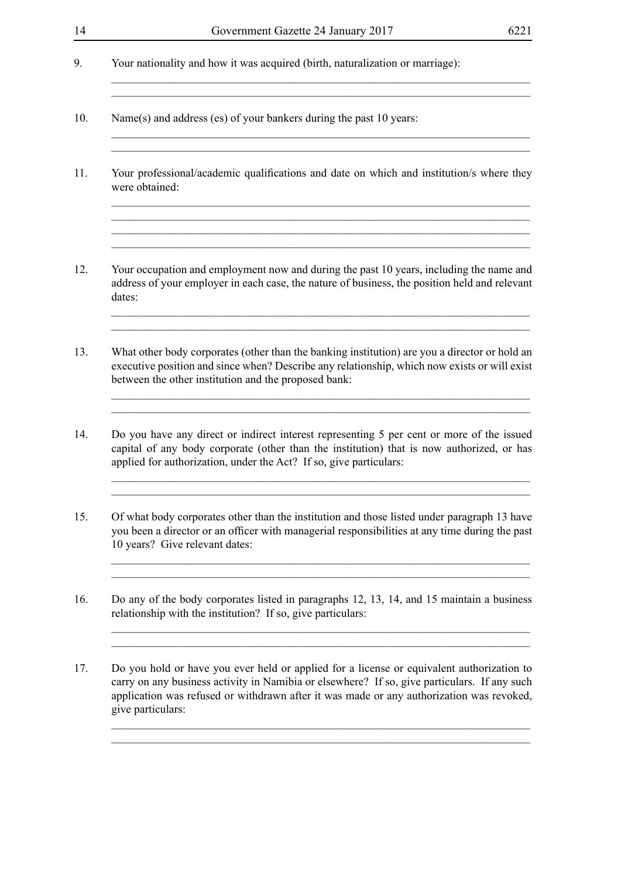$\mathcal{L}_\text{max} = \mathcal{L}_\text{max} = \mathcal{L}_\text{max} = \mathcal{L}_\text{max} = \mathcal{L}_\text{max} = \mathcal{L}_\text{max} = \mathcal{L}_\text{max} = \mathcal{L}_\text{max} = \mathcal{L}_\text{max} = \mathcal{L}_\text{max} = \mathcal{L}_\text{max} = \mathcal{L}_\text{max} = \mathcal{L}_\text{max} = \mathcal{L}_\text{max} = \mathcal{L}_\text{max} = \mathcal{L}_\text{max} = \mathcal{L}_\text{max} = \mathcal{L}_\text{max} = \mathcal{$ 

\_\_\_\_\_\_\_\_\_\_\_\_\_\_\_\_\_\_\_\_\_\_\_\_\_\_\_\_\_\_\_\_\_\_\_\_\_\_\_\_\_\_\_\_\_\_\_\_\_\_\_\_\_\_\_\_\_\_\_\_\_\_\_\_\_\_\_\_\_\_\_\_\_ \_\_\_\_\_\_\_\_\_\_\_\_\_\_\_\_\_\_\_\_\_\_\_\_\_\_\_\_\_\_\_\_\_\_\_\_\_\_\_\_\_\_\_\_\_\_\_\_\_\_\_\_\_\_\_\_\_\_\_\_\_\_\_\_\_\_\_\_\_\_\_\_\_

\_\_\_\_\_\_\_\_\_\_\_\_\_\_\_\_\_\_\_\_\_\_\_\_\_\_\_\_\_\_\_\_\_\_\_\_\_\_\_\_\_\_\_\_\_\_\_\_\_\_\_\_\_\_\_\_\_\_\_\_\_\_\_\_\_\_\_\_\_\_\_\_\_

 $\_$  , and the set of the set of the set of the set of the set of the set of the set of the set of the set of the set of the set of the set of the set of the set of the set of the set of the set of the set of the set of th  $\_$  , and the set of the set of the set of the set of the set of the set of the set of the set of the set of the set of the set of the set of the set of the set of the set of the set of the set of the set of the set of th

 $\_$  , and the set of the set of the set of the set of the set of the set of the set of the set of the set of the set of the set of the set of the set of the set of the set of the set of the set of the set of the set of th

- 9. Your nationality and how it was acquired (birth, naturalization or marriage):
- 10. Name(s) and address (es) of your bankers during the past 10 years:
- 11. Your professional/academic qualifications and date on which and institution/s where they were obtained:
- 12. Your occupation and employment now and during the past 10 years, including the name and address of your employer in each case, the nature of business, the position held and relevant dates:
- 13. What other body corporates (other than the banking institution) are you a director or hold an executive position and since when? Describe any relationship, which now exists or will exist between the other institution and the proposed bank:
- 14. Do you have any direct or indirect interest representing 5 per cent or more of the issued capital of any body corporate (other than the institution) that is now authorized, or has applied for authorization, under the Act? If so, give particulars:

 $\mathcal{L}_\mathcal{L} = \mathcal{L}_\mathcal{L} = \mathcal{L}_\mathcal{L} = \mathcal{L}_\mathcal{L} = \mathcal{L}_\mathcal{L} = \mathcal{L}_\mathcal{L} = \mathcal{L}_\mathcal{L} = \mathcal{L}_\mathcal{L} = \mathcal{L}_\mathcal{L} = \mathcal{L}_\mathcal{L} = \mathcal{L}_\mathcal{L} = \mathcal{L}_\mathcal{L} = \mathcal{L}_\mathcal{L} = \mathcal{L}_\mathcal{L} = \mathcal{L}_\mathcal{L} = \mathcal{L}_\mathcal{L} = \mathcal{L}_\mathcal{L}$ 

15. Of what body corporates other than the institution and those listed under paragraph 13 have you been a director or an officer with managerial responsibilities at any time during the past 10 years? Give relevant dates:

 $\_$  , and the set of the set of the set of the set of the set of the set of the set of the set of the set of the set of the set of the set of the set of the set of the set of the set of the set of the set of the set of th \_\_\_\_\_\_\_\_\_\_\_\_\_\_\_\_\_\_\_\_\_\_\_\_\_\_\_\_\_\_\_\_\_\_\_\_\_\_\_\_\_\_\_\_\_\_\_\_\_\_\_\_\_\_\_\_\_\_\_\_\_\_\_\_\_\_\_\_\_\_\_\_\_

 $\_$  , and the set of the set of the set of the set of the set of the set of the set of the set of the set of the set of the set of the set of the set of the set of the set of the set of the set of the set of the set of th \_\_\_\_\_\_\_\_\_\_\_\_\_\_\_\_\_\_\_\_\_\_\_\_\_\_\_\_\_\_\_\_\_\_\_\_\_\_\_\_\_\_\_\_\_\_\_\_\_\_\_\_\_\_\_\_\_\_\_\_\_\_\_\_\_\_\_\_\_\_\_\_\_

\_\_\_\_\_\_\_\_\_\_\_\_\_\_\_\_\_\_\_\_\_\_\_\_\_\_\_\_\_\_\_\_\_\_\_\_\_\_\_\_\_\_\_\_\_\_\_\_\_\_\_\_\_\_\_\_\_\_\_\_\_\_\_\_\_\_\_\_\_\_\_\_\_  $\_$  , and the set of the set of the set of the set of the set of the set of the set of the set of the set of the set of the set of the set of the set of the set of the set of the set of the set of the set of the set of th

- 16. Do any of the body corporates listed in paragraphs 12, 13, 14, and 15 maintain a business relationship with the institution? If so, give particulars:
- 17. Do you hold or have you ever held or applied for a license or equivalent authorization to carry on any business activity in Namibia or elsewhere? If so, give particulars. If any such application was refused or withdrawn after it was made or any authorization was revoked, give particulars: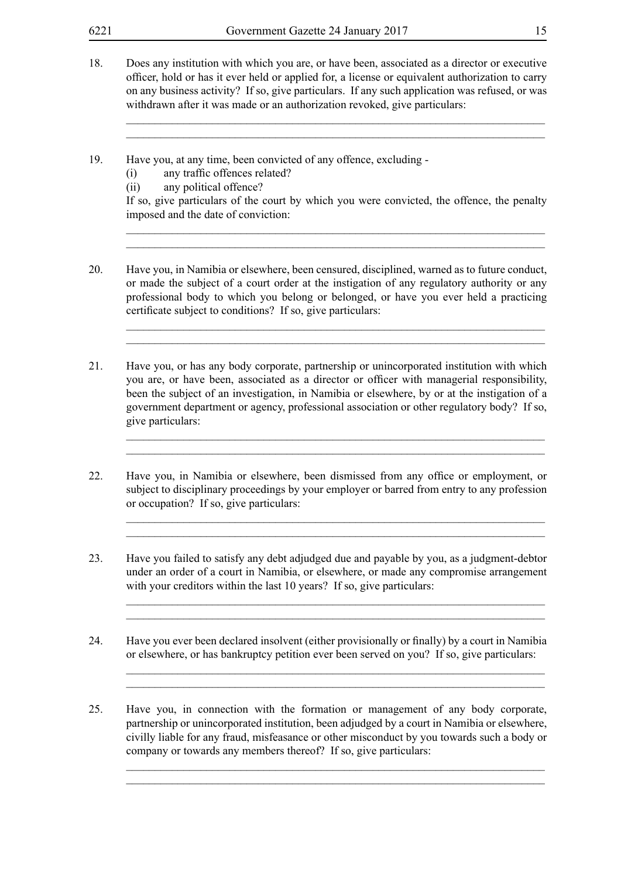- 18. Does any institution with which you are, or have been, associated as a director or executive officer, hold or has it ever held or applied for, a license or equivalent authorization to carry on any business activity? If so, give particulars. If any such application was refused, or was withdrawn after it was made or an authorization revoked, give particulars:
- 19. Have you, at any time, been convicted of any offence, excluding -
	- (i) any traffic offences related?
	- (ii) any political offence?

If so, give particulars of the court by which you were convicted, the offence, the penalty imposed and the date of conviction:

 $\_$  , and the set of the set of the set of the set of the set of the set of the set of the set of the set of the set of the set of the set of the set of the set of the set of the set of the set of the set of the set of th  $\_$  , and the set of the set of the set of the set of the set of the set of the set of the set of the set of the set of the set of the set of the set of the set of the set of the set of the set of the set of the set of th

\_\_\_\_\_\_\_\_\_\_\_\_\_\_\_\_\_\_\_\_\_\_\_\_\_\_\_\_\_\_\_\_\_\_\_\_\_\_\_\_\_\_\_\_\_\_\_\_\_\_\_\_\_\_\_\_\_\_\_\_\_\_\_\_\_\_\_\_\_\_\_\_\_ \_\_\_\_\_\_\_\_\_\_\_\_\_\_\_\_\_\_\_\_\_\_\_\_\_\_\_\_\_\_\_\_\_\_\_\_\_\_\_\_\_\_\_\_\_\_\_\_\_\_\_\_\_\_\_\_\_\_\_\_\_\_\_\_\_\_\_\_\_\_\_\_\_

 $\_$  , and the set of the set of the set of the set of the set of the set of the set of the set of the set of the set of the set of the set of the set of the set of the set of the set of the set of the set of the set of th \_\_\_\_\_\_\_\_\_\_\_\_\_\_\_\_\_\_\_\_\_\_\_\_\_\_\_\_\_\_\_\_\_\_\_\_\_\_\_\_\_\_\_\_\_\_\_\_\_\_\_\_\_\_\_\_\_\_\_\_\_\_\_\_\_\_\_\_\_\_\_\_\_

\_\_\_\_\_\_\_\_\_\_\_\_\_\_\_\_\_\_\_\_\_\_\_\_\_\_\_\_\_\_\_\_\_\_\_\_\_\_\_\_\_\_\_\_\_\_\_\_\_\_\_\_\_\_\_\_\_\_\_\_\_\_\_\_\_\_\_\_\_\_\_\_\_ \_\_\_\_\_\_\_\_\_\_\_\_\_\_\_\_\_\_\_\_\_\_\_\_\_\_\_\_\_\_\_\_\_\_\_\_\_\_\_\_\_\_\_\_\_\_\_\_\_\_\_\_\_\_\_\_\_\_\_\_\_\_\_\_\_\_\_\_\_\_\_\_\_

\_\_\_\_\_\_\_\_\_\_\_\_\_\_\_\_\_\_\_\_\_\_\_\_\_\_\_\_\_\_\_\_\_\_\_\_\_\_\_\_\_\_\_\_\_\_\_\_\_\_\_\_\_\_\_\_\_\_\_\_\_\_\_\_\_\_\_\_\_\_\_\_\_  $\_$  , and the set of the set of the set of the set of the set of the set of the set of the set of the set of the set of the set of the set of the set of the set of the set of the set of the set of the set of the set of th

\_\_\_\_\_\_\_\_\_\_\_\_\_\_\_\_\_\_\_\_\_\_\_\_\_\_\_\_\_\_\_\_\_\_\_\_\_\_\_\_\_\_\_\_\_\_\_\_\_\_\_\_\_\_\_\_\_\_\_\_\_\_\_\_\_\_\_\_\_\_\_\_\_  $\_$  , and the set of the set of the set of the set of the set of the set of the set of the set of the set of the set of the set of the set of the set of the set of the set of the set of the set of the set of the set of th

\_\_\_\_\_\_\_\_\_\_\_\_\_\_\_\_\_\_\_\_\_\_\_\_\_\_\_\_\_\_\_\_\_\_\_\_\_\_\_\_\_\_\_\_\_\_\_\_\_\_\_\_\_\_\_\_\_\_\_\_\_\_\_\_\_\_\_\_\_\_\_\_\_ \_\_\_\_\_\_\_\_\_\_\_\_\_\_\_\_\_\_\_\_\_\_\_\_\_\_\_\_\_\_\_\_\_\_\_\_\_\_\_\_\_\_\_\_\_\_\_\_\_\_\_\_\_\_\_\_\_\_\_\_\_\_\_\_\_\_\_\_\_\_\_\_\_

 $\_$  , and the set of the set of the set of the set of the set of the set of the set of the set of the set of the set of the set of the set of the set of the set of the set of the set of the set of the set of the set of th \_\_\_\_\_\_\_\_\_\_\_\_\_\_\_\_\_\_\_\_\_\_\_\_\_\_\_\_\_\_\_\_\_\_\_\_\_\_\_\_\_\_\_\_\_\_\_\_\_\_\_\_\_\_\_\_\_\_\_\_\_\_\_\_\_\_\_\_\_\_\_\_\_

- 20. Have you, in Namibia or elsewhere, been censured, disciplined, warned as to future conduct, or made the subject of a court order at the instigation of any regulatory authority or any professional body to which you belong or belonged, or have you ever held a practicing certificate subject to conditions? If so, give particulars:
- 21. Have you, or has any body corporate, partnership or unincorporated institution with which you are, or have been, associated as a director or officer with managerial responsibility, been the subject of an investigation, in Namibia or elsewhere, by or at the instigation of a government department or agency, professional association or other regulatory body? If so, give particulars:
- 22. Have you, in Namibia or elsewhere, been dismissed from any office or employment, or subject to disciplinary proceedings by your employer or barred from entry to any profession or occupation? If so, give particulars:
- 23. Have you failed to satisfy any debt adjudged due and payable by you, as a judgment-debtor under an order of a court in Namibia, or elsewhere, or made any compromise arrangement with your creditors within the last 10 years? If so, give particulars:
- 24. Have you ever been declared insolvent (either provisionally or finally) by a court in Namibia or elsewhere, or has bankruptcy petition ever been served on you? If so, give particulars:
- 25. Have you, in connection with the formation or management of any body corporate, partnership or unincorporated institution, been adjudged by a court in Namibia or elsewhere, civilly liable for any fraud, misfeasance or other misconduct by you towards such a body or company or towards any members thereof? If so, give particulars: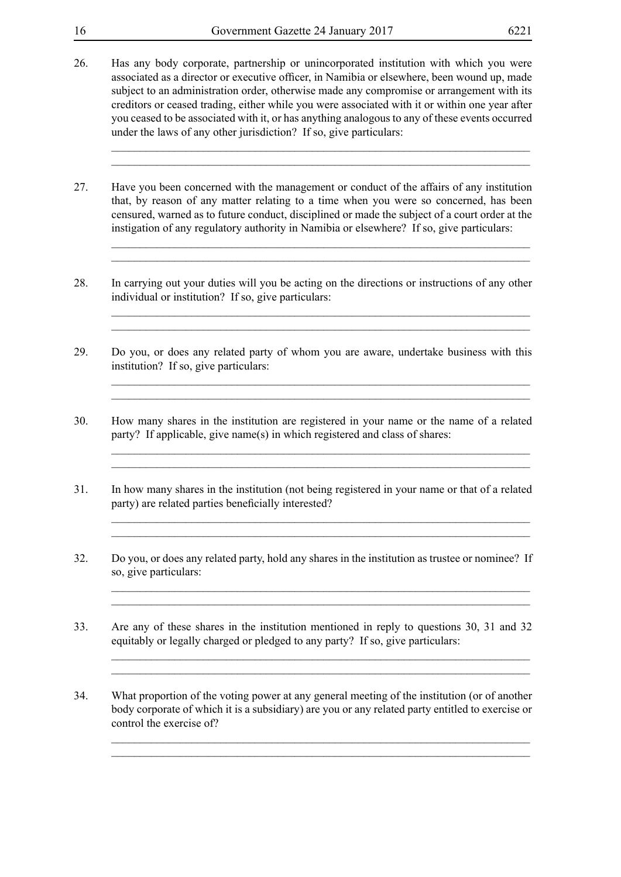- 
- 26. Has any body corporate, partnership or unincorporated institution with which you were associated as a director or executive officer, in Namibia or elsewhere, been wound up, made subject to an administration order, otherwise made any compromise or arrangement with its creditors or ceased trading, either while you were associated with it or within one year after you ceased to be associated with it, or has anything analogous to any of these events occurred under the laws of any other jurisdiction? If so, give particulars:

\_\_\_\_\_\_\_\_\_\_\_\_\_\_\_\_\_\_\_\_\_\_\_\_\_\_\_\_\_\_\_\_\_\_\_\_\_\_\_\_\_\_\_\_\_\_\_\_\_\_\_\_\_\_\_\_\_\_\_\_\_\_\_\_\_\_\_\_\_\_\_\_\_  $\_$  , and the set of the set of the set of the set of the set of the set of the set of the set of the set of the set of the set of the set of the set of the set of the set of the set of the set of the set of the set of th

 $\_$  , and the set of the set of the set of the set of the set of the set of the set of the set of the set of the set of the set of the set of the set of the set of the set of the set of the set of the set of the set of th \_\_\_\_\_\_\_\_\_\_\_\_\_\_\_\_\_\_\_\_\_\_\_\_\_\_\_\_\_\_\_\_\_\_\_\_\_\_\_\_\_\_\_\_\_\_\_\_\_\_\_\_\_\_\_\_\_\_\_\_\_\_\_\_\_\_\_\_\_\_\_\_\_

 $\_$  , and the set of the set of the set of the set of the set of the set of the set of the set of the set of the set of the set of the set of the set of the set of the set of the set of the set of the set of the set of th

\_\_\_\_\_\_\_\_\_\_\_\_\_\_\_\_\_\_\_\_\_\_\_\_\_\_\_\_\_\_\_\_\_\_\_\_\_\_\_\_\_\_\_\_\_\_\_\_\_\_\_\_\_\_\_\_\_\_\_\_\_\_\_\_\_\_\_\_\_\_\_\_\_ \_\_\_\_\_\_\_\_\_\_\_\_\_\_\_\_\_\_\_\_\_\_\_\_\_\_\_\_\_\_\_\_\_\_\_\_\_\_\_\_\_\_\_\_\_\_\_\_\_\_\_\_\_\_\_\_\_\_\_\_\_\_\_\_\_\_\_\_\_\_\_\_\_

\_\_\_\_\_\_\_\_\_\_\_\_\_\_\_\_\_\_\_\_\_\_\_\_\_\_\_\_\_\_\_\_\_\_\_\_\_\_\_\_\_\_\_\_\_\_\_\_\_\_\_\_\_\_\_\_\_\_\_\_\_\_\_\_\_\_\_\_\_\_\_\_\_ \_\_\_\_\_\_\_\_\_\_\_\_\_\_\_\_\_\_\_\_\_\_\_\_\_\_\_\_\_\_\_\_\_\_\_\_\_\_\_\_\_\_\_\_\_\_\_\_\_\_\_\_\_\_\_\_\_\_\_\_\_\_\_\_\_\_\_\_\_\_\_\_\_

\_\_\_\_\_\_\_\_\_\_\_\_\_\_\_\_\_\_\_\_\_\_\_\_\_\_\_\_\_\_\_\_\_\_\_\_\_\_\_\_\_\_\_\_\_\_\_\_\_\_\_\_\_\_\_\_\_\_\_\_\_\_\_\_\_\_\_\_\_\_\_\_\_ \_\_\_\_\_\_\_\_\_\_\_\_\_\_\_\_\_\_\_\_\_\_\_\_\_\_\_\_\_\_\_\_\_\_\_\_\_\_\_\_\_\_\_\_\_\_\_\_\_\_\_\_\_\_\_\_\_\_\_\_\_\_\_\_\_\_\_\_\_\_\_\_\_

\_\_\_\_\_\_\_\_\_\_\_\_\_\_\_\_\_\_\_\_\_\_\_\_\_\_\_\_\_\_\_\_\_\_\_\_\_\_\_\_\_\_\_\_\_\_\_\_\_\_\_\_\_\_\_\_\_\_\_\_\_\_\_\_\_\_\_\_\_\_\_\_\_ \_\_\_\_\_\_\_\_\_\_\_\_\_\_\_\_\_\_\_\_\_\_\_\_\_\_\_\_\_\_\_\_\_\_\_\_\_\_\_\_\_\_\_\_\_\_\_\_\_\_\_\_\_\_\_\_\_\_\_\_\_\_\_\_\_\_\_\_\_\_\_\_\_

\_\_\_\_\_\_\_\_\_\_\_\_\_\_\_\_\_\_\_\_\_\_\_\_\_\_\_\_\_\_\_\_\_\_\_\_\_\_\_\_\_\_\_\_\_\_\_\_\_\_\_\_\_\_\_\_\_\_\_\_\_\_\_\_\_\_\_\_\_\_\_\_\_ \_\_\_\_\_\_\_\_\_\_\_\_\_\_\_\_\_\_\_\_\_\_\_\_\_\_\_\_\_\_\_\_\_\_\_\_\_\_\_\_\_\_\_\_\_\_\_\_\_\_\_\_\_\_\_\_\_\_\_\_\_\_\_\_\_\_\_\_\_\_\_\_\_

 $\_$  , and the set of the set of the set of the set of the set of the set of the set of the set of the set of the set of the set of the set of the set of the set of the set of the set of the set of the set of the set of th  $\_$  , and the set of the set of the set of the set of the set of the set of the set of the set of the set of the set of the set of the set of the set of the set of the set of the set of the set of the set of the set of th

- 27. Have you been concerned with the management or conduct of the affairs of any institution that, by reason of any matter relating to a time when you were so concerned, has been censured, warned as to future conduct, disciplined or made the subject of a court order at the instigation of any regulatory authority in Namibia or elsewhere? If so, give particulars:
- 28. In carrying out your duties will you be acting on the directions or instructions of any other individual or institution? If so, give particulars:
- 29. Do you, or does any related party of whom you are aware, undertake business with this institution? If so, give particulars:
- 30. How many shares in the institution are registered in your name or the name of a related party? If applicable, give name(s) in which registered and class of shares:
- 31. In how many shares in the institution (not being registered in your name or that of a related party) are related parties beneficially interested?
- 32. Do you, or does any related party, hold any shares in the institution as trustee or nominee? If so, give particulars:
- 33. Are any of these shares in the institution mentioned in reply to questions 30, 31 and 32 equitably or legally charged or pledged to any party? If so, give particulars:
- 34. What proportion of the voting power at any general meeting of the institution (or of another body corporate of which it is a subsidiary) are you or any related party entitled to exercise or control the exercise of?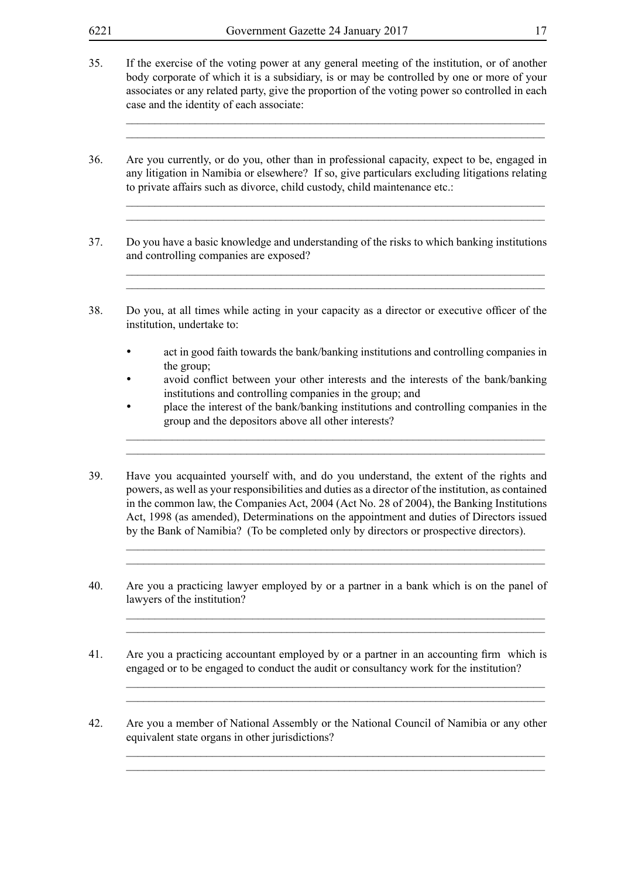35. If the exercise of the voting power at any general meeting of the institution, or of another body corporate of which it is a subsidiary, is or may be controlled by one or more of your associates or any related party, give the proportion of the voting power so controlled in each case and the identity of each associate:

 $\_$  , and the set of the set of the set of the set of the set of the set of the set of the set of the set of the set of the set of the set of the set of the set of the set of the set of the set of the set of the set of th \_\_\_\_\_\_\_\_\_\_\_\_\_\_\_\_\_\_\_\_\_\_\_\_\_\_\_\_\_\_\_\_\_\_\_\_\_\_\_\_\_\_\_\_\_\_\_\_\_\_\_\_\_\_\_\_\_\_\_\_\_\_\_\_\_\_\_\_\_\_\_\_\_

\_\_\_\_\_\_\_\_\_\_\_\_\_\_\_\_\_\_\_\_\_\_\_\_\_\_\_\_\_\_\_\_\_\_\_\_\_\_\_\_\_\_\_\_\_\_\_\_\_\_\_\_\_\_\_\_\_\_\_\_\_\_\_\_\_\_\_\_\_\_\_\_\_  $\_$  , and the set of the set of the set of the set of the set of the set of the set of the set of the set of the set of the set of the set of the set of the set of the set of the set of the set of the set of the set of th

\_\_\_\_\_\_\_\_\_\_\_\_\_\_\_\_\_\_\_\_\_\_\_\_\_\_\_\_\_\_\_\_\_\_\_\_\_\_\_\_\_\_\_\_\_\_\_\_\_\_\_\_\_\_\_\_\_\_\_\_\_\_\_\_\_\_\_\_\_\_\_\_\_  $\_$  , and the set of the set of the set of the set of the set of the set of the set of the set of the set of the set of the set of the set of the set of the set of the set of the set of the set of the set of the set of th

36. Are you currently, or do you, other than in professional capacity, expect to be, engaged in any litigation in Namibia or elsewhere? If so, give particulars excluding litigations relating to private affairs such as divorce, child custody, child maintenance etc.:

- 37. Do you have a basic knowledge and understanding of the risks to which banking institutions and controlling companies are exposed?
- 38. Do you, at all times while acting in your capacity as a director or executive officer of the institution, undertake to:
	- act in good faith towards the bank/banking institutions and controlling companies in the group;
	- avoid conflict between your other interests and the interests of the bank/banking institutions and controlling companies in the group; and
	- **place the interest of the bank/banking institutions and controlling companies in the** group and the depositors above all other interests?

 $\_$  , and the set of the set of the set of the set of the set of the set of the set of the set of the set of the set of the set of the set of the set of the set of the set of the set of the set of the set of the set of th \_\_\_\_\_\_\_\_\_\_\_\_\_\_\_\_\_\_\_\_\_\_\_\_\_\_\_\_\_\_\_\_\_\_\_\_\_\_\_\_\_\_\_\_\_\_\_\_\_\_\_\_\_\_\_\_\_\_\_\_\_\_\_\_\_\_\_\_\_\_\_\_\_

 $\_$  , and the set of the set of the set of the set of the set of the set of the set of the set of the set of the set of the set of the set of the set of the set of the set of the set of the set of the set of the set of th  $\_$  , and the set of the set of the set of the set of the set of the set of the set of the set of the set of the set of the set of the set of the set of the set of the set of the set of the set of the set of the set of th

 $\_$  , and the set of the set of the set of the set of the set of the set of the set of the set of the set of the set of the set of the set of the set of the set of the set of the set of the set of the set of the set of th  $\_$  , and the set of the set of the set of the set of the set of the set of the set of the set of the set of the set of the set of the set of the set of the set of the set of the set of the set of the set of the set of th

 $\_$  , and the set of the set of the set of the set of the set of the set of the set of the set of the set of the set of the set of the set of the set of the set of the set of the set of the set of the set of the set of th  $\_$  , and the set of the set of the set of the set of the set of the set of the set of the set of the set of the set of the set of the set of the set of the set of the set of the set of the set of the set of the set of th

 $\_$  , and the set of the set of the set of the set of the set of the set of the set of the set of the set of the set of the set of the set of the set of the set of the set of the set of the set of the set of the set of th \_\_\_\_\_\_\_\_\_\_\_\_\_\_\_\_\_\_\_\_\_\_\_\_\_\_\_\_\_\_\_\_\_\_\_\_\_\_\_\_\_\_\_\_\_\_\_\_\_\_\_\_\_\_\_\_\_\_\_\_\_\_\_\_\_\_\_\_\_\_\_\_\_

- 39. Have you acquainted yourself with, and do you understand, the extent of the rights and powers, as well as your responsibilities and duties as a director of the institution, as contained in the common law, the Companies Act, 2004 (Act No. 28 of 2004), the Banking Institutions Act, 1998 (as amended), Determinations on the appointment and duties of Directors issued by the Bank of Namibia? (To be completed only by directors or prospective directors).
- 40. Are you a practicing lawyer employed by or a partner in a bank which is on the panel of lawyers of the institution?
- 41. Are you a practicing accountant employed by or a partner in an accounting firm which is engaged or to be engaged to conduct the audit or consultancy work for the institution?
- 42. Are you a member of National Assembly or the National Council of Namibia or any other equivalent state organs in other jurisdictions?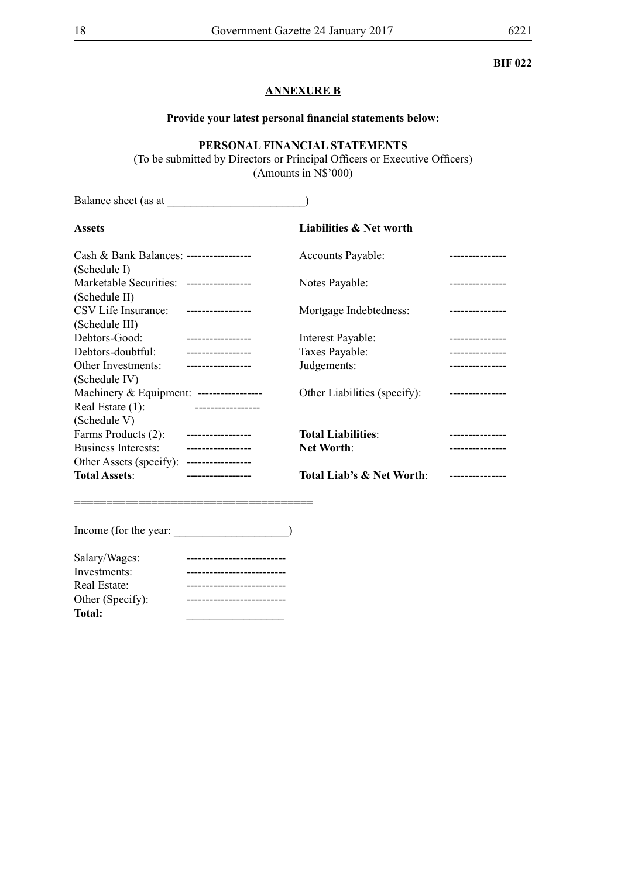#### **BIF 022**

#### **ANNEXURE B**

#### **Provide your latest personal financial statements below:**

### **PERSONAL FINANCIAL STATEMENTS**

(To be submitted by Directors or Principal Officers or Executive Officers) (Amounts in N\$'000)

Balance sheet (as at \_\_\_\_\_\_\_\_\_\_\_\_\_\_\_\_\_\_\_\_\_\_\_\_)

| <b>Assets</b>                            |                   | Liabilities & Net worth      |                 |
|------------------------------------------|-------------------|------------------------------|-----------------|
| Cash & Bank Balances: -----------------  |                   | Accounts Payable:            |                 |
| (Schedule I)                             |                   |                              |                 |
| Marketable Securities: ----------------- |                   | Notes Payable:               |                 |
| (Schedule II)                            |                   |                              |                 |
| CSV Life Insurance:                      | ----------------- | Mortgage Indebtedness:       |                 |
| (Schedule III)                           |                   |                              |                 |
| Debtors-Good:                            | ----------------- | Interest Payable:            | .               |
| Debtors-doubtful:                        | ----------------- | Taxes Payable:               | --------------- |
| Other Investments:                       | ----------------- | Judgements:                  |                 |
| (Schedule IV)                            |                   |                              |                 |
| Machinery & Equipment: ----------------- |                   | Other Liabilities (specify): |                 |
| Real Estate (1):                         |                   |                              |                 |
| (Schedule V)                             |                   |                              |                 |
| Farms Products (2):                      | ----------------- | <b>Total Liabilities:</b>    |                 |
| <b>Business Interests:</b>               | ---------------   | <b>Net Worth:</b>            |                 |
| Other Assets (specify):                  | ----------------- |                              |                 |
| <b>Total Assets:</b>                     |                   | Total Liab's & Net Worth:    |                 |

Income (for the year: \_\_\_\_\_\_\_\_\_\_\_\_\_\_\_\_\_\_\_\_\_)

=====================================

| Salary/Wages:    |  |
|------------------|--|
| Investments:     |  |
| Real Estate:     |  |
| Other (Specify): |  |
| <b>Total:</b>    |  |
|                  |  |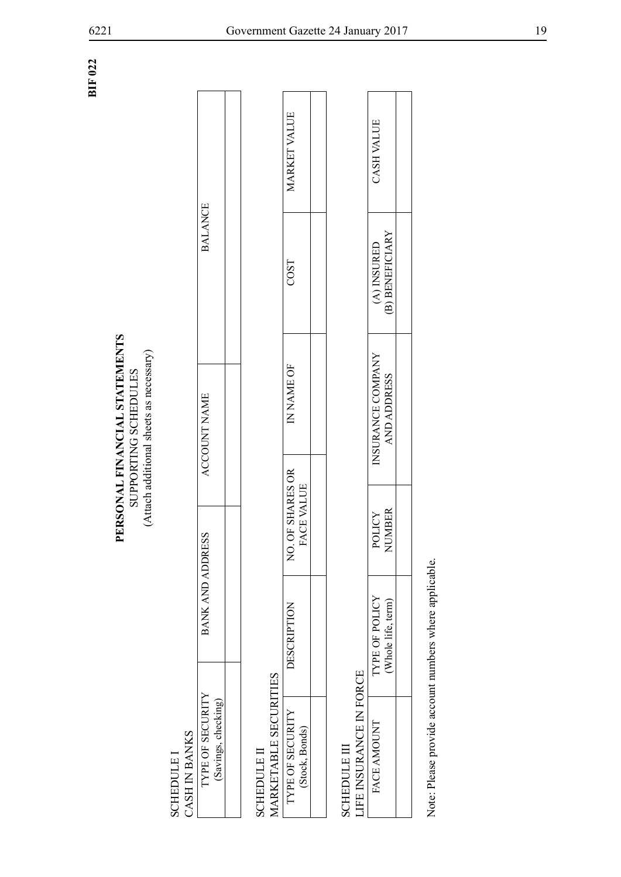**BIF 022**

# PERSONAL FINANCIAL STATEMENTS **PERSONAL FINANCIAL STATEMENTS** SUPPORTING SCHEDULES (Attach additional sheets as necessary) SUPPORTING SCHEDULES

(Attach additional sheets as necessary)

| BANK AND ADDRI                         |  |
|----------------------------------------|--|
| TYPE OF SECURITY<br>Savings, checking) |  |

| CASH IN BANKS<br><b>SCHEDULE I</b>                     |                                      |                                |                                         |                                |                     |
|--------------------------------------------------------|--------------------------------------|--------------------------------|-----------------------------------------|--------------------------------|---------------------|
| TYPE OF SECURITY<br>(Savings, checking)                | BANK AND ADD                         | RESS                           | ACCOUNT NAME                            | <b>BALANCE</b>                 |                     |
|                                                        |                                      |                                |                                         |                                |                     |
| MARKETABLE SECURITIES<br><b>SCHEDULE II</b>            |                                      |                                |                                         |                                |                     |
| TYPE OF SECURITY<br>(Stock, Bonds)                     | DESCRIPTION                          | NO. OF SHARES OR<br>FACE VALUE | IN NAME OF                              | COST                           | <b>MARKET VALUE</b> |
|                                                        |                                      |                                |                                         |                                |                     |
| LIFE INSURANCE IN FORCE<br><b>SCHEDULE III</b>         |                                      |                                |                                         |                                |                     |
| FACE AMOUNT                                            | TYPE OF POLICY<br>(Whole life, term) | NUMBER<br>POLICY               | INSURANCE COMPANY<br><b>AND ADDRESS</b> | (B) BENEFICIARY<br>(A) INSURED | CASH VALUE          |
|                                                        |                                      |                                |                                         |                                |                     |
| Note: Please provide account numbers where applicable. |                                      |                                |                                         |                                |                     |

| <b>HITAN HS.</b> |                       |  |
|------------------|-----------------------|--|
| A INSURED        | <b>WARDENERICIARY</b> |  |
| NSURANCE COMPANY | AND ADDRESS           |  |
| <b>VIIU</b>      | $\mathbf{L}$          |  |
| TYPE OF POLICY   |                       |  |
| ACEAM            |                       |  |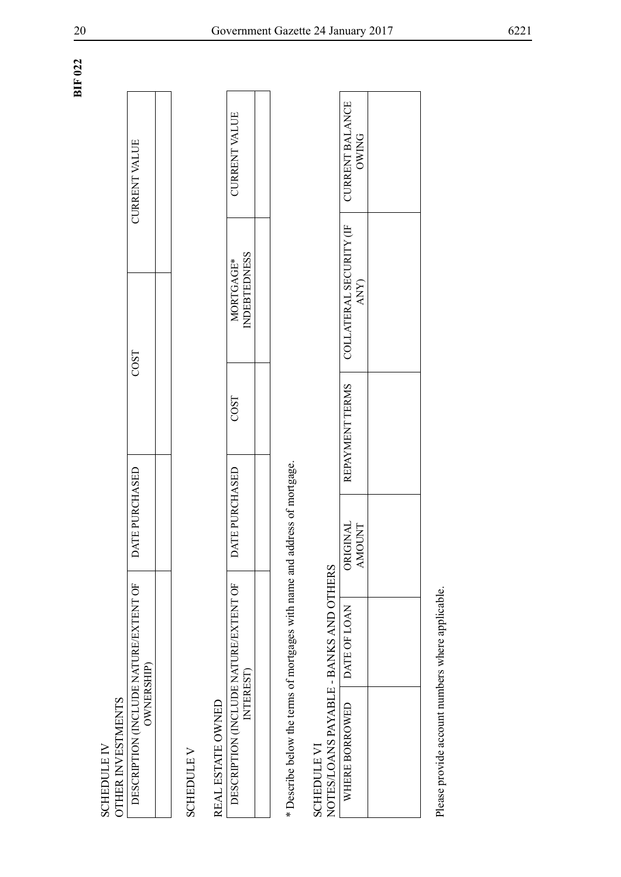| DESCRIPTION (INCLIEDE NATI REFEXTENT OF<br>ו<br>וונדו בדו | СH) | COST | <b>JURRENT VALU</b> |  |
|-----------------------------------------------------------|-----|------|---------------------|--|
| $\overline{\phantom{a}}$                                  |     |      |                     |  |
|                                                           |     |      |                     |  |

| CURRENT VALUI                    |                    |  |
|----------------------------------|--------------------|--|
| MORTGAGE                         | <b>NDEBTEDNESS</b> |  |
| COST                             |                    |  |
| TE PURCHASED                     |                    |  |
| ACREAGEMENT AND MATTER DESTRATED |                    |  |

| OTHER INVESTMENTS<br><b>SCHEDULE IV</b>                      |              |                           |                 |                                  |                                        |
|--------------------------------------------------------------|--------------|---------------------------|-----------------|----------------------------------|----------------------------------------|
| DESCRIPTION (INCLUDE NATURE/EXTENT OF<br><b>OWNERSHIP</b>    |              | DATE PURCHASED            |                 | COST                             | <b>CURRENT VALUE</b>                   |
|                                                              |              |                           |                 |                                  |                                        |
| <b>SCHEDULE V</b>                                            |              |                           |                 |                                  |                                        |
| REAL ESTATE OWNED                                            |              |                           |                 |                                  |                                        |
| DESCRIPTION (INCLUDE NATURE/EXTENT OF<br>INTEREST)           |              | DATE PURCHASED            | COST            | <b>INDEBTEDNESS</b><br>MORTGAGE* | <b>CURRENT VALUE</b>                   |
|                                                              |              |                           |                 |                                  |                                        |
| * Describe below the terms of mortgages with name and        |              | address of mortgage.      |                 |                                  |                                        |
| NOTES/LOANS PAYABLE - BANKS AND OTHERS<br><b>SCHEDULE VI</b> |              |                           |                 |                                  |                                        |
| WHERE BORROWED                                               | DATE OF LOAN | ORIGINAL<br><b>AMOUNT</b> | REPAYMENT TERMS | COLLATERAL SECURITY (IF<br>ANY)  | <b>CURRENT BALANCE</b><br><b>OWING</b> |
|                                                              |              |                           |                 |                                  |                                        |
| Please provide account numbers where applicable.             |              |                           |                 |                                  |                                        |

**BIF 022**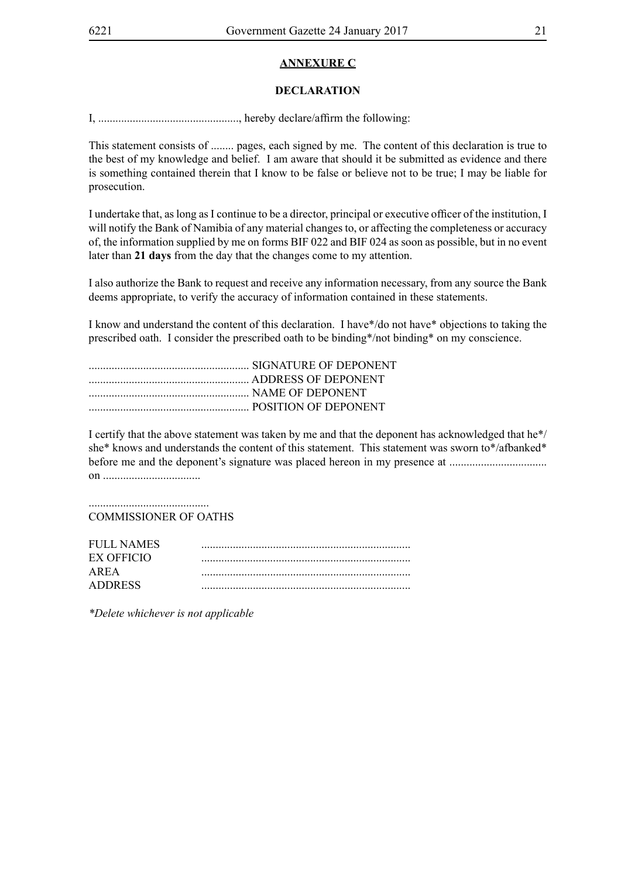#### **ANNEXURE C**

#### **DECLARATION**

I, ................................................., hereby declare/affirm the following:

This statement consists of ........ pages, each signed by me. The content of this declaration is true to the best of my knowledge and belief. I am aware that should it be submitted as evidence and there is something contained therein that I know to be false or believe not to be true; I may be liable for prosecution.

I undertake that, as long as I continue to be a director, principal or executive officer of the institution, I will notify the Bank of Namibia of any material changes to, or affecting the completeness or accuracy of, the information supplied by me on forms BIF 022 and BIF 024 as soon as possible, but in no event later than **21 days** from the day that the changes come to my attention.

I also authorize the Bank to request and receive any information necessary, from any source the Bank deems appropriate, to verify the accuracy of information contained in these statements.

I know and understand the content of this declaration. I have\*/do not have\* objections to taking the prescribed oath. I consider the prescribed oath to be binding\*/not binding\* on my conscience.

I certify that the above statement was taken by me and that the deponent has acknowledged that he\*/ she\* knows and understands the content of this statement. This statement was sworn to\*/afbanked\* before me and the deponent's signature was placed hereon in my presence at .................................. on ..................................

.......................................... COMMISSIONER OF OATHS

| FULL NAMES     |  |
|----------------|--|
| EX OFFICIO     |  |
| AREA           |  |
| <b>ADDRESS</b> |  |

*\*Delete whichever is not applicable*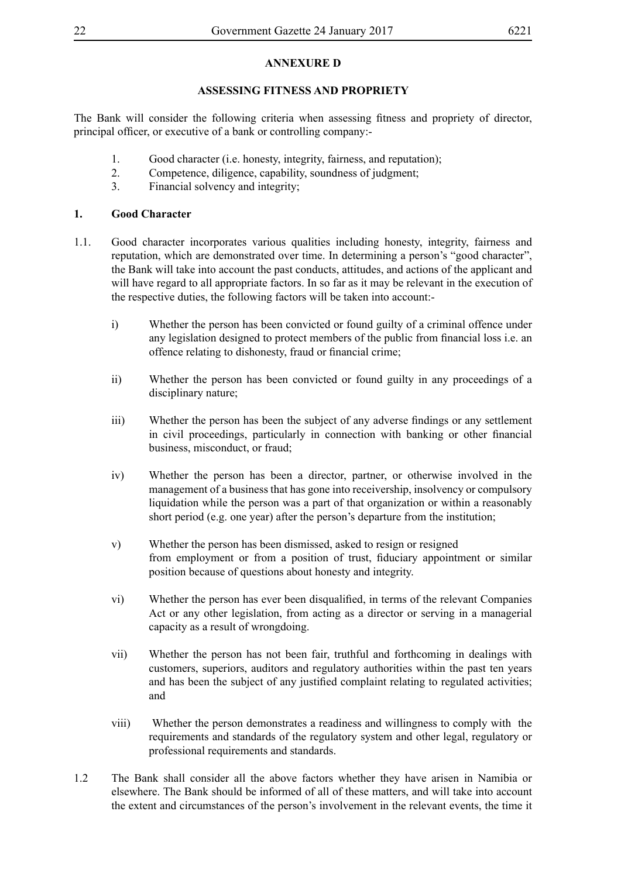## **ANNEXURE D**

#### **ASSESSING FITNESS AND PROPRIETY**

The Bank will consider the following criteria when assessing fitness and propriety of director, principal officer, or executive of a bank or controlling company:-

- 1. Good character (i.e. honesty, integrity, fairness, and reputation);
- 2. Competence, diligence, capability, soundness of judgment;
- 3. Financial solvency and integrity;

#### **1. Good Character**

- 1.1. Good character incorporates various qualities including honesty, integrity, fairness and reputation, which are demonstrated over time. In determining a person's "good character", the Bank will take into account the past conducts, attitudes, and actions of the applicant and will have regard to all appropriate factors. In so far as it may be relevant in the execution of the respective duties, the following factors will be taken into account:
	- i) Whether the person has been convicted or found guilty of a criminal offence under any legislation designed to protect members of the public from financial loss i.e. an offence relating to dishonesty, fraud or financial crime;
	- ii) Whether the person has been convicted or found guilty in any proceedings of a disciplinary nature;
	- iii) Whether the person has been the subject of any adverse findings or any settlement in civil proceedings, particularly in connection with banking or other financial business, misconduct, or fraud;
	- iv) Whether the person has been a director, partner, or otherwise involved in the management of a business that has gone into receivership, insolvency or compulsory liquidation while the person was a part of that organization or within a reasonably short period (e.g. one year) after the person's departure from the institution;
	- v) Whether the person has been dismissed, asked to resign or resigned from employment or from a position of trust, fiduciary appointment or similar position because of questions about honesty and integrity.
	- vi) Whether the person has ever been disqualified, in terms of the relevant Companies Act or any other legislation, from acting as a director or serving in a managerial capacity as a result of wrongdoing.
	- vii) Whether the person has not been fair, truthful and forthcoming in dealings with customers, superiors, auditors and regulatory authorities within the past ten years and has been the subject of any justified complaint relating to regulated activities; and
	- viii) Whether the person demonstrates a readiness and willingness to comply with the requirements and standards of the regulatory system and other legal, regulatory or professional requirements and standards.
- 1.2 The Bank shall consider all the above factors whether they have arisen in Namibia or elsewhere. The Bank should be informed of all of these matters, and will take into account the extent and circumstances of the person's involvement in the relevant events, the time it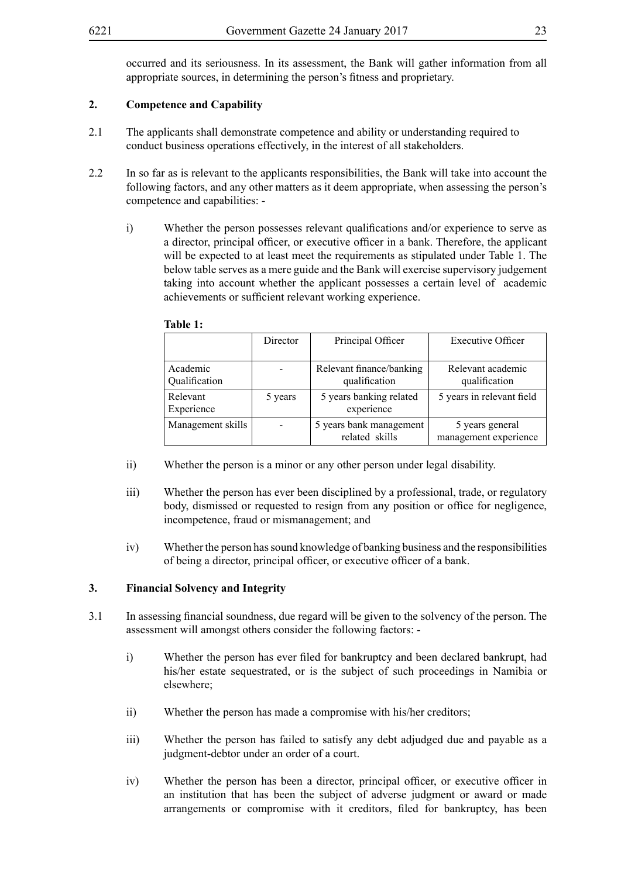occurred and its seriousness. In its assessment, the Bank will gather information from all appropriate sources, in determining the person's fitness and proprietary.

#### **2. Competence and Capability**

- 2.1 The applicants shall demonstrate competence and ability or understanding required to conduct business operations effectively, in the interest of all stakeholders.
- 2.2 In so far as is relevant to the applicants responsibilities, the Bank will take into account the following factors, and any other matters as it deem appropriate, when assessing the person's competence and capabilities:
	- i) Whether the person possesses relevant qualifications and/or experience to serve as a director, principal officer, or executive officer in a bank. Therefore, the applicant will be expected to at least meet the requirements as stipulated under Table 1. The below table serves as a mere guide and the Bank will exercise supervisory judgement taking into account whether the applicant possesses a certain level of academic achievements or sufficient relevant working experience.

|                           | Director | Principal Officer                         | <b>Executive Officer</b>                 |
|---------------------------|----------|-------------------------------------------|------------------------------------------|
| Academic<br>Qualification |          | Relevant finance/banking<br>qualification | Relevant academic<br>qualification       |
| Relevant<br>Experience    | 5 years  | 5 years banking related<br>experience     | 5 years in relevant field                |
| Management skills         |          | 5 years bank management<br>related skills | 5 years general<br>management experience |

#### **Table 1:**

- ii) Whether the person is a minor or any other person under legal disability.
- iii) Whether the person has ever been disciplined by a professional, trade, or regulatory body, dismissed or requested to resign from any position or office for negligence, incompetence, fraud or mismanagement; and
- iv) Whether the person has sound knowledge of banking business and the responsibilities of being a director, principal officer, or executive officer of a bank.

#### **3. Financial Solvency and Integrity**

- 3.1 In assessing financial soundness, due regard will be given to the solvency of the person. The assessment will amongst others consider the following factors:
	- i) Whether the person has ever filed for bankruptcy and been declared bankrupt, had his/her estate sequestrated, or is the subject of such proceedings in Namibia or elsewhere;
	- ii) Whether the person has made a compromise with his/her creditors;
	- iii) Whether the person has failed to satisfy any debt adjudged due and payable as a judgment-debtor under an order of a court.
	- iv) Whether the person has been a director, principal officer, or executive officer in an institution that has been the subject of adverse judgment or award or made arrangements or compromise with it creditors, filed for bankruptcy, has been